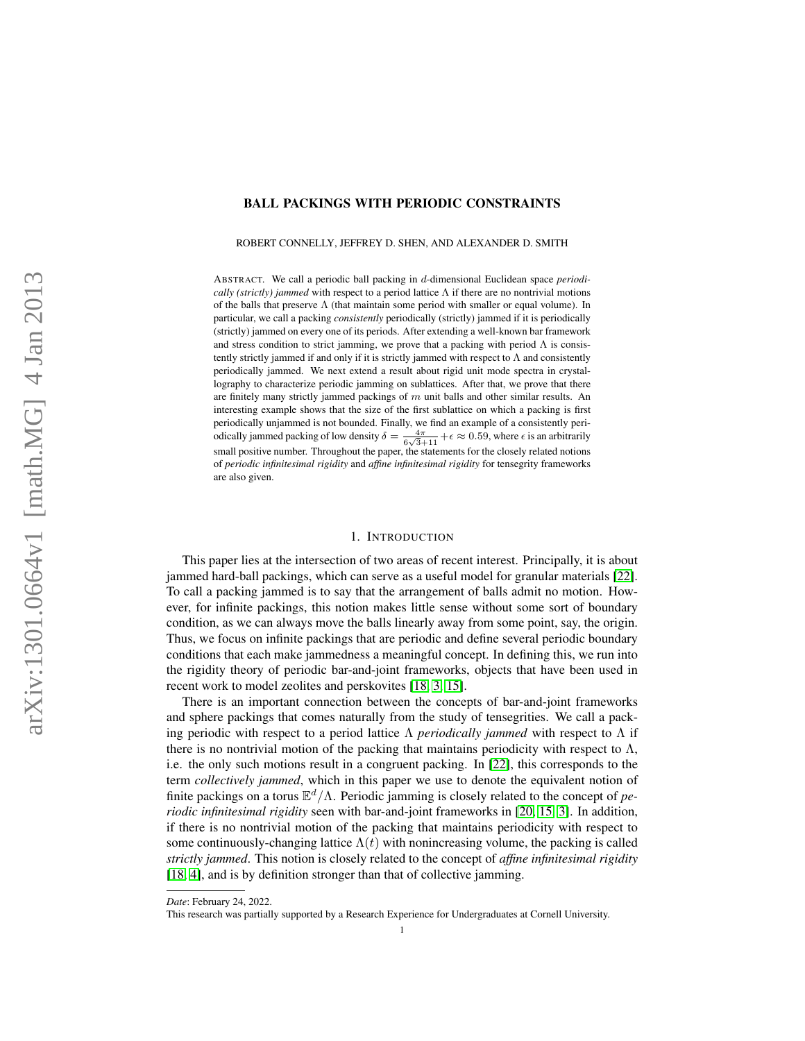## BALL PACKINGS WITH PERIODIC CONSTRAINTS

ROBERT CONNELLY, JEFFREY D. SHEN, AND ALEXANDER D. SMITH

ABSTRACT. We call a periodic ball packing in d-dimensional Euclidean space *periodically (strictly) jammed* with respect to a period lattice  $\Lambda$  if there are no nontrivial motions of the balls that preserve  $\Lambda$  (that maintain some period with smaller or equal volume). In particular, we call a packing *consistently* periodically (strictly) jammed if it is periodically (strictly) jammed on every one of its periods. After extending a well-known bar framework and stress condition to strict jamming, we prove that a packing with period  $\Lambda$  is consistently strictly jammed if and only if it is strictly jammed with respect to  $\Lambda$  and consistently periodically jammed. We next extend a result about rigid unit mode spectra in crystallography to characterize periodic jamming on sublattices. After that, we prove that there are finitely many strictly jammed packings of  $m$  unit balls and other similar results. An interesting example shows that the size of the first sublattice on which a packing is first periodically unjammed is not bounded. Finally, we find an example of a consistently periodically jammed packing of low density  $\delta = \frac{4\pi}{6\sqrt{3}+11} + \epsilon \approx 0.59$ , where  $\epsilon$  is an arbitrarily small positive number. Throughout the paper, the statements for the closely related notions of *periodic infinitesimal rigidity* and *affine infinitesimal rigidity* for tensegrity frameworks are also given.

#### 1. INTRODUCTION

This paper lies at the intersection of two areas of recent interest. Principally, it is about jammed hard-ball packings, which can serve as a useful model for granular materials [\[22\]](#page-21-0). To call a packing jammed is to say that the arrangement of balls admit no motion. However, for infinite packings, this notion makes little sense without some sort of boundary condition, as we can always move the balls linearly away from some point, say, the origin. Thus, we focus on infinite packings that are periodic and define several periodic boundary conditions that each make jammedness a meaningful concept. In defining this, we run into the rigidity theory of periodic bar-and-joint frameworks, objects that have been used in recent work to model zeolites and perskovites [\[18,](#page-21-1) [3,](#page-20-0) [15\]](#page-21-2).

There is an important connection between the concepts of bar-and-joint frameworks and sphere packings that comes naturally from the study of tensegrities. We call a packing periodic with respect to a period lattice Λ *periodically jammed* with respect to Λ if there is no nontrivial motion of the packing that maintains periodicity with respect to  $\Lambda$ , i.e. the only such motions result in a congruent packing. In [\[22\]](#page-21-0), this corresponds to the term *collectively jammed*, which in this paper we use to denote the equivalent notion of finite packings on a torus E <sup>d</sup>/Λ. Periodic jamming is closely related to the concept of *periodic infinitesimal rigidity* seen with bar-and-joint frameworks in [\[20,](#page-21-3) [15,](#page-21-2) [3\]](#page-20-0). In addition, if there is no nontrivial motion of the packing that maintains periodicity with respect to some continuously-changing lattice  $\Lambda(t)$  with nonincreasing volume, the packing is called *strictly jammed*. This notion is closely related to the concept of *affine infinitesimal rigidity* [\[18,](#page-21-1) [4\]](#page-20-1), and is by definition stronger than that of collective jamming.

*Date*: February 24, 2022.

This research was partially supported by a Research Experience for Undergraduates at Cornell University.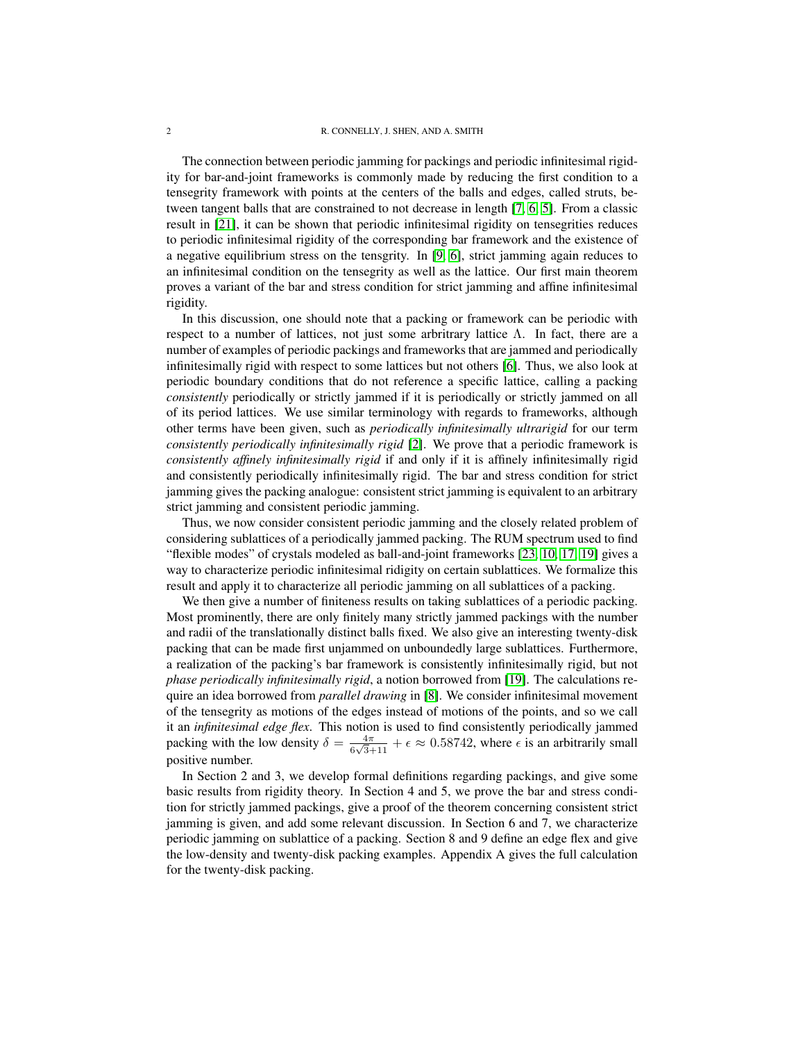The connection between periodic jamming for packings and periodic infinitesimal rigidity for bar-and-joint frameworks is commonly made by reducing the first condition to a tensegrity framework with points at the centers of the balls and edges, called struts, between tangent balls that are constrained to not decrease in length [\[7,](#page-20-2) [6,](#page-20-3) [5\]](#page-20-4). From a classic result in [\[21\]](#page-21-4), it can be shown that periodic infinitesimal rigidity on tensegrities reduces to periodic infinitesimal rigidity of the corresponding bar framework and the existence of a negative equilibrium stress on the tensgrity. In [\[9,](#page-20-5) [6\]](#page-20-3), strict jamming again reduces to an infinitesimal condition on the tensegrity as well as the lattice. Our first main theorem proves a variant of the bar and stress condition for strict jamming and affine infinitesimal rigidity.

In this discussion, one should note that a packing or framework can be periodic with respect to a number of lattices, not just some arbritrary lattice Λ. In fact, there are a number of examples of periodic packings and frameworks that are jammed and periodically infinitesimally rigid with respect to some lattices but not others [\[6\]](#page-20-3). Thus, we also look at periodic boundary conditions that do not reference a specific lattice, calling a packing *consistently* periodically or strictly jammed if it is periodically or strictly jammed on all of its period lattices. We use similar terminology with regards to frameworks, although other terms have been given, such as *periodically infinitesimally ultrarigid* for our term *consistently periodically infinitesimally rigid* [\[2\]](#page-20-6). We prove that a periodic framework is *consistently affinely infinitesimally rigid* if and only if it is affinely infinitesimally rigid and consistently periodically infinitesimally rigid. The bar and stress condition for strict jamming gives the packing analogue: consistent strict jamming is equivalent to an arbitrary strict jamming and consistent periodic jamming.

Thus, we now consider consistent periodic jamming and the closely related problem of considering sublattices of a periodically jammed packing. The RUM spectrum used to find "flexible modes" of crystals modeled as ball-and-joint frameworks [\[23,](#page-21-5) [10,](#page-20-7) [17,](#page-21-6) [19\]](#page-21-7) gives a way to characterize periodic infinitesimal ridigity on certain sublattices. We formalize this result and apply it to characterize all periodic jamming on all sublattices of a packing.

We then give a number of finiteness results on taking sublattices of a periodic packing. Most prominently, there are only finitely many strictly jammed packings with the number and radii of the translationally distinct balls fixed. We also give an interesting twenty-disk packing that can be made first unjammed on unboundedly large sublattices. Furthermore, a realization of the packing's bar framework is consistently infinitesimally rigid, but not *phase periodically infinitesimally rigid*, a notion borrowed from [\[19\]](#page-21-7). The calculations require an idea borrowed from *parallel drawing* in [\[8\]](#page-20-8). We consider infinitesimal movement of the tensegrity as motions of the edges instead of motions of the points, and so we call it an *infinitesimal edge flex*. This notion is used to find consistently periodically jammed packing with the low density  $\delta = \frac{4\pi}{6\sqrt{2}}$  $\frac{4\pi}{6\sqrt{3}+11} + \epsilon \approx 0.58742$ , where  $\epsilon$  is an arbitrarily small positive number.

In Section 2 and 3, we develop formal definitions regarding packings, and give some basic results from rigidity theory. In Section 4 and 5, we prove the bar and stress condition for strictly jammed packings, give a proof of the theorem concerning consistent strict jamming is given, and add some relevant discussion. In Section 6 and 7, we characterize periodic jamming on sublattice of a packing. Section 8 and 9 define an edge flex and give the low-density and twenty-disk packing examples. Appendix A gives the full calculation for the twenty-disk packing.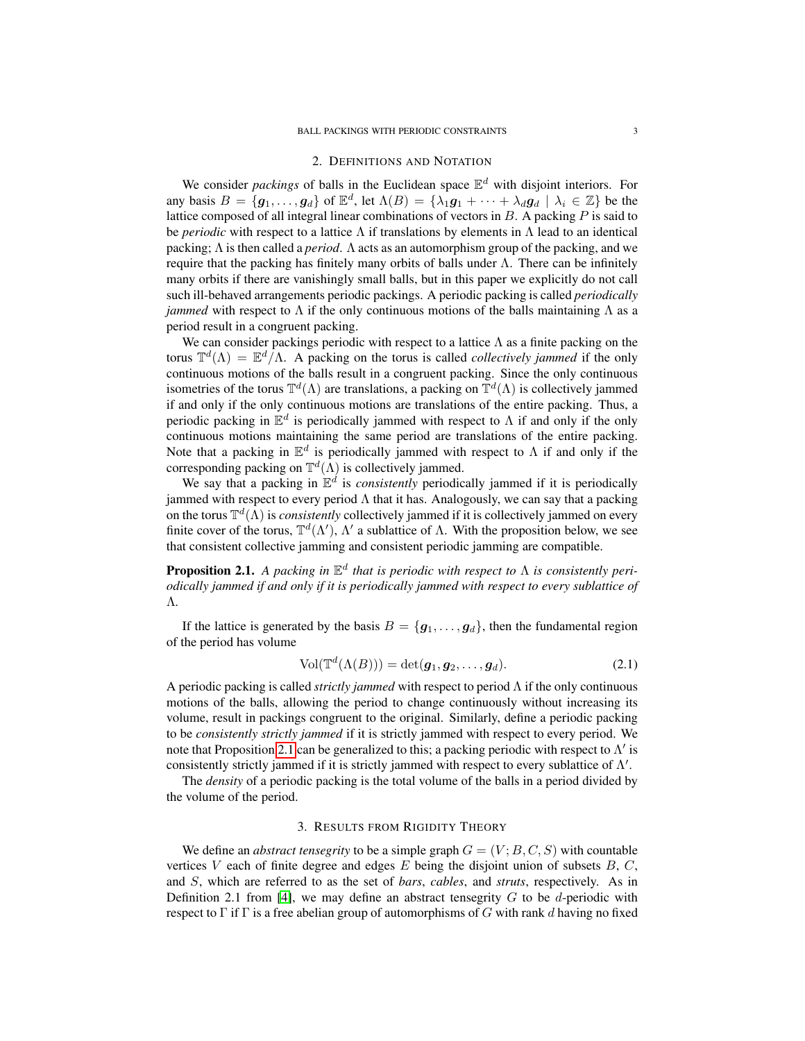#### 2. DEFINITIONS AND NOTATION

We consider *packings* of balls in the Euclidean space  $\mathbb{E}^d$  with disjoint interiors. For any basis  $B = \{g_1, \ldots, g_d\}$  of  $\mathbb{E}^d$ , let  $\Lambda(B) = \{\lambda_1 g_1 + \cdots + \lambda_d g_d \mid \lambda_i \in \mathbb{Z}\}$  be the lattice composed of all integral linear combinations of vectors in  $B$ . A packing  $P$  is said to be *periodic* with respect to a lattice  $\Lambda$  if translations by elements in  $\Lambda$  lead to an identical packing; Λ is then called a *period*. Λ acts as an automorphism group of the packing, and we require that the packing has finitely many orbits of balls under Λ. There can be infinitely many orbits if there are vanishingly small balls, but in this paper we explicitly do not call such ill-behaved arrangements periodic packings. A periodic packing is called *periodically jammed* with respect to  $\Lambda$  if the only continuous motions of the balls maintaining  $\Lambda$  as a period result in a congruent packing.

We can consider packings periodic with respect to a lattice  $\Lambda$  as a finite packing on the torus  $\mathbb{T}^d(\Lambda) = \mathbb{E}^d/\Lambda$ . A packing on the torus is called *collectively jammed* if the only continuous motions of the balls result in a congruent packing. Since the only continuous isometries of the torus  $\mathbb{T}^d(\Lambda)$  are translations, a packing on  $\mathbb{T}^d(\Lambda)$  is collectively jammed if and only if the only continuous motions are translations of the entire packing. Thus, a periodic packing in  $\mathbb{E}^d$  is periodically jammed with respect to  $\Lambda$  if and only if the only continuous motions maintaining the same period are translations of the entire packing. Note that a packing in  $\mathbb{E}^d$  is periodically jammed with respect to  $\Lambda$  if and only if the corresponding packing on  $\mathbb{T}^d(\Lambda)$  is collectively jammed.

We say that a packing in  $\mathbb{E}^d$  is *consistently* periodically jammed if it is periodically jammed with respect to every period  $\Lambda$  that it has. Analogously, we can say that a packing on the torus  $\mathbb{T}^d(\Lambda)$  is *consistently* collectively jammed if it is collectively jammed on every finite cover of the torus,  $\mathbb{T}^d(\Lambda')$ ,  $\Lambda'$  a sublattice of  $\Lambda$ . With the proposition below, we see that consistent collective jamming and consistent periodic jamming are compatible.

<span id="page-2-0"></span>**Proposition 2.1.** A packing in  $\mathbb{E}^d$  that is periodic with respect to  $\Lambda$  is consistently peri*odically jammed if and only if it is periodically jammed with respect to every sublattice of* Λ*.*

If the lattice is generated by the basis  $B = \{g_1, \ldots, g_d\}$ , then the fundamental region of the period has volume

$$
Vol(\mathbb{T}^d(\Lambda(B))) = \det(g_1, g_2, \dots, g_d).
$$
 (2.1)

A periodic packing is called *strictly jammed* with respect to period Λ if the only continuous motions of the balls, allowing the period to change continuously without increasing its volume, result in packings congruent to the original. Similarly, define a periodic packing to be *consistently strictly jammed* if it is strictly jammed with respect to every period. We note that Proposition [2.1](#page-2-0) can be generalized to this; a packing periodic with respect to  $\Lambda'$  is consistently strictly jammed if it is strictly jammed with respect to every sublattice of  $\Lambda'$ .

The *density* of a periodic packing is the total volume of the balls in a period divided by the volume of the period.

### 3. RESULTS FROM RIGIDITY THEORY

We define an *abstract tensegrity* to be a simple graph  $G = (V; B, C, S)$  with countable vertices  $V$  each of finite degree and edges  $E$  being the disjoint union of subsets  $B, C$ , and S, which are referred to as the set of *bars*, *cables*, and *struts*, respectively. As in Definition 2.1 from [\[4\]](#page-20-1), we may define an abstract tensegrity  $G$  to be d-periodic with respect to  $\Gamma$  if  $\Gamma$  is a free abelian group of automorphisms of G with rank d having no fixed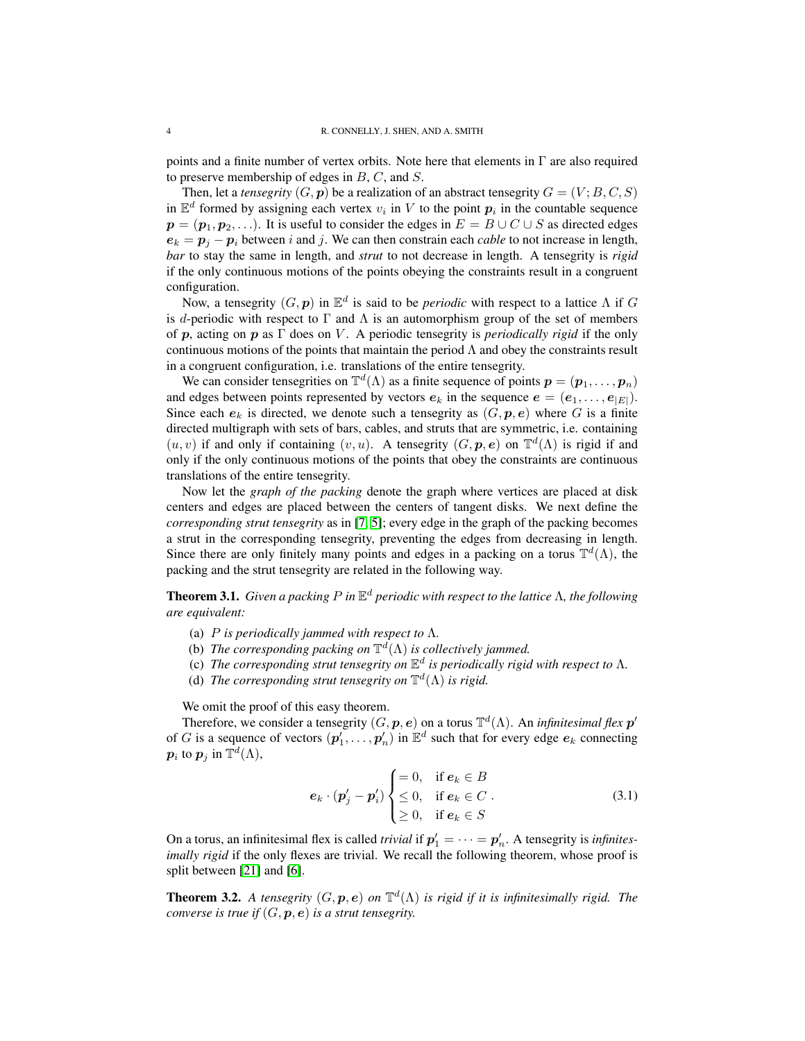points and a finite number of vertex orbits. Note here that elements in  $\Gamma$  are also required to preserve membership of edges in  $B, C$ , and  $S$ .

Then, let a *tensegrity*  $(G, p)$  be a realization of an abstract tensegrity  $G = (V; B, C, S)$ in  $\mathbb{E}^d$  formed by assigning each vertex  $v_i$  in V to the point  $p_i$  in the countable sequence  $p = (p_1, p_2, \ldots)$ . It is useful to consider the edges in  $E = B \cup C \cup S$  as directed edges  $e_k = p_j - p_i$  between i and j. We can then constrain each *cable* to not increase in length, *bar* to stay the same in length, and *strut* to not decrease in length. A tensegrity is *rigid* if the only continuous motions of the points obeying the constraints result in a congruent configuration.

Now, a tensegrity  $(G, p)$  in  $\mathbb{E}^d$  is said to be *periodic* with respect to a lattice  $\Lambda$  if  $G$ is d-periodic with respect to  $\Gamma$  and  $\Lambda$  is an automorphism group of the set of members of p, acting on p as Γ does on V . A periodic tensegrity is *periodically rigid* if the only continuous motions of the points that maintain the period  $\Lambda$  and obey the constraints result in a congruent configuration, i.e. translations of the entire tensegrity.

We can consider tensegrities on  $\mathbb{T}^d(\Lambda)$  as a finite sequence of points  $\mathbf{p} = (\mathbf{p}_1, \dots, \mathbf{p}_n)$ and edges between points represented by vectors  $e_k$  in the sequence  $e = (e_1, \ldots, e_{|E|})$ . Since each  $e_k$  is directed, we denote such a tensegrity as  $(G, p, e)$  where G is a finite directed multigraph with sets of bars, cables, and struts that are symmetric, i.e. containing  $(u, v)$  if and only if containing  $(v, u)$ . A tensegrity  $(G, p, e)$  on  $\mathbb{T}^d(\Lambda)$  is rigid if and only if the only continuous motions of the points that obey the constraints are continuous translations of the entire tensegrity.

Now let the *graph of the packing* denote the graph where vertices are placed at disk centers and edges are placed between the centers of tangent disks. We next define the *corresponding strut tensegrity* as in [\[7,](#page-20-2) [5\]](#page-20-4); every edge in the graph of the packing becomes a strut in the corresponding tensegrity, preventing the edges from decreasing in length. Since there are only finitely many points and edges in a packing on a torus  $\mathbb{T}^d(\Lambda)$ , the packing and the strut tensegrity are related in the following way.

<span id="page-3-0"></span>Theorem 3.1. *Given a packing* P *in* E <sup>d</sup> *periodic with respect to the lattice* Λ*, the following are equivalent:*

- (a) P *is periodically jammed with respect to* Λ*.*
- (b) *The corresponding packing on*  $\mathbb{T}^d(\Lambda)$  *is collectively jammed.*
- (c) The corresponding strut tensegrity on  $\mathbb{E}^d$  is periodically rigid with respect to  $\Lambda$ .
- (d) The corresponding strut tensegrity on  $\mathbb{T}^d(\Lambda)$  is rigid.

We omit the proof of this easy theorem.

Therefore, we consider a tensegrity  $(G, p, e)$  on a torus  $\mathbb{T}^d(\Lambda)$ . An *infinitesimal flex*  $p'$ of G is a sequence of vectors  $(p'_1, \ldots, p'_n)$  in  $\mathbb{E}^d$  such that for every edge  $e_k$  connecting  $\boldsymbol{p}_i$  to  $\boldsymbol{p}_j$  in  $\mathbb{T}^d(\Lambda),$ 

<span id="page-3-2"></span>
$$
\mathbf{e}_{k} \cdot (\mathbf{p}'_{j} - \mathbf{p}'_{i}) \begin{cases} = 0, & \text{if } \mathbf{e}_{k} \in B \\ \leq 0, & \text{if } \mathbf{e}_{k} \in C \\ \geq 0, & \text{if } \mathbf{e}_{k} \in S \end{cases}
$$
 (3.1)

On a torus, an infinitesimal flex is called *trivial* if  $p'_1 = \cdots = p'_n$ . A tensegrity is *infinitesimally rigid* if the only flexes are trivial. We recall the following theorem, whose proof is split between [\[21\]](#page-21-4) and [\[6\]](#page-20-3).

<span id="page-3-1"></span>**Theorem 3.2.** A tensegrity  $(G, p, e)$  on  $\mathbb{T}^d(\Lambda)$  is rigid if it is infinitesimally rigid. The *converse is true if*  $(G, p, e)$  *is a strut tensegrity.*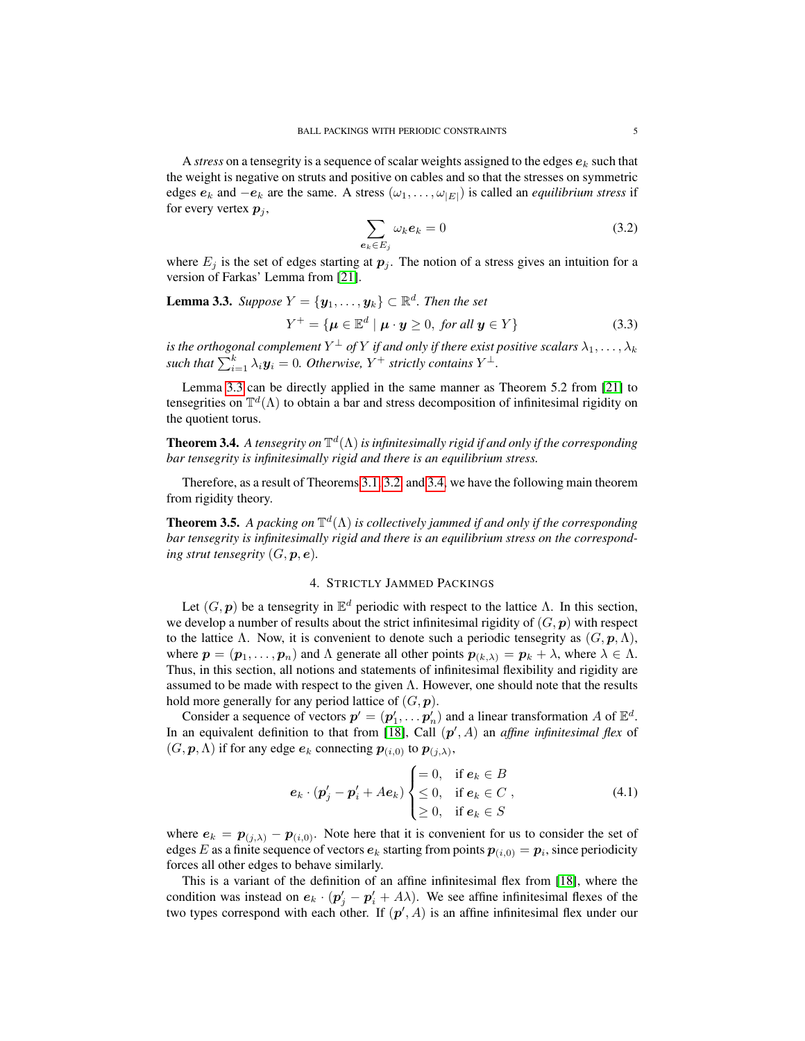A *stress* on a tensegrity is a sequence of scalar weights assigned to the edges  $e_k$  such that the weight is negative on struts and positive on cables and so that the stresses on symmetric edges  $e_k$  and  $-e_k$  are the same. A stress  $(\omega_1, \ldots, \omega_{|E|})$  is called an *equilibrium stress* if for every vertex  $p_i$ ,

<span id="page-4-2"></span>
$$
\sum_{\mathbf{e}_k \in E_j} \omega_k \mathbf{e}_k = 0 \tag{3.2}
$$

where  $E_i$  is the set of edges starting at  $p_i$ . The notion of a stress gives an intuition for a version of Farkas' Lemma from [\[21\]](#page-21-4).

<span id="page-4-0"></span>**Lemma 3.3.** Suppose 
$$
Y = {\mathbf{y}_1, ..., \mathbf{y}_k} \subset \mathbb{R}^d
$$
. Then the set  

$$
Y^+ = {\mathbf{\mu} \in \mathbb{E}^d \mid \mathbf{\mu} \cdot \mathbf{y} \geq 0, \text{ for all } \mathbf{y} \in Y}
$$
(3.3)

is the orthogonal complement  $Y^\perp$  of  $Y$  if and only if there exist positive scalars  $\lambda_1,\ldots,\lambda_k$ such that  $\sum_{i=1}^{k} \lambda_i \boldsymbol{y}_i = 0$ . Otherwise,  $Y^+$  strictly contains  $Y^{\perp}$ .

Lemma [3.3](#page-4-0) can be directly applied in the same manner as Theorem 5.2 from [\[21\]](#page-21-4) to tensegrities on  $\mathbb{T}^d(\Lambda)$  to obtain a bar and stress decomposition of infinitesimal rigidity on the quotient torus.

<span id="page-4-1"></span>**Theorem 3.4.** A tensegrity on  $\mathbb{T}^d(\Lambda)$  is infinitesimally rigid if and only if the corresponding *bar tensegrity is infinitesimally rigid and there is an equilibrium stress.*

Therefore, as a result of Theorems [3.1,](#page-3-0) [3.2,](#page-3-1) and [3.4,](#page-4-1) we have the following main theorem from rigidity theory.

<span id="page-4-4"></span>**Theorem 3.5.** A packing on  $\mathbb{T}^d(\Lambda)$  is collectively jammed if and only if the corresponding *bar tensegrity is infinitesimally rigid and there is an equilibrium stress on the corresponding strut tensegrity*  $(G, \mathbf{p}, \mathbf{e})$ *.* 

# 4. STRICTLY JAMMED PACKINGS

Let  $(G, p)$  be a tensegrity in  $\mathbb{E}^d$  periodic with respect to the lattice  $\Lambda$ . In this section, we develop a number of results about the strict infinitesimal rigidity of  $(G, p)$  with respect to the lattice Λ. Now, it is convenient to denote such a periodic tensegrity as  $(G, p, \Lambda)$ , where  $p = (p_1, \ldots, p_n)$  and  $\Lambda$  generate all other points  $p_{(k,\lambda)} = p_k + \lambda$ , where  $\lambda \in \Lambda$ . Thus, in this section, all notions and statements of infinitesimal flexibility and rigidity are assumed to be made with respect to the given  $\Lambda$ . However, one should note that the results hold more generally for any period lattice of  $(G, \mathbf{p})$ .

Consider a sequence of vectors  $p' = (p'_1, \ldots, p'_n)$  and a linear transformation A of  $\mathbb{E}^d$ . In an equivalent definition to that from [\[18\]](#page-21-1), Call  $(p', A)$  an *affine infinitesimal flex* of  $(G, \mathbf{p}, \Lambda)$  if for any edge  $\mathbf{e}_k$  connecting  $\mathbf{p}_{(i,0)}$  to  $\mathbf{p}_{(j,\lambda)}$ ,

<span id="page-4-3"></span>
$$
\boldsymbol{e}_k \cdot (\boldsymbol{p}'_j - \boldsymbol{p}'_i + Ae_k) \begin{cases} = 0, & \text{if } \boldsymbol{e}_k \in B \\ \leq 0, & \text{if } \boldsymbol{e}_k \in C \\ \geq 0, & \text{if } \boldsymbol{e}_k \in S \end{cases}
$$
 (4.1)

where  $e_k = p_{(j,\lambda)} - p_{(i,0)}$ . Note here that it is convenient for us to consider the set of edges E as a finite sequence of vectors  $e_k$  starting from points  $p_{(i,0)} = p_i$ , since periodicity forces all other edges to behave similarly.

This is a variant of the definition of an affine infinitesimal flex from [\[18\]](#page-21-1), where the condition was instead on  $e_k \cdot (p'_j - p'_i + A\lambda)$ . We see affine infinitesimal flexes of the two types correspond with each other. If  $(p', A)$  is an affine infinitesimal flex under our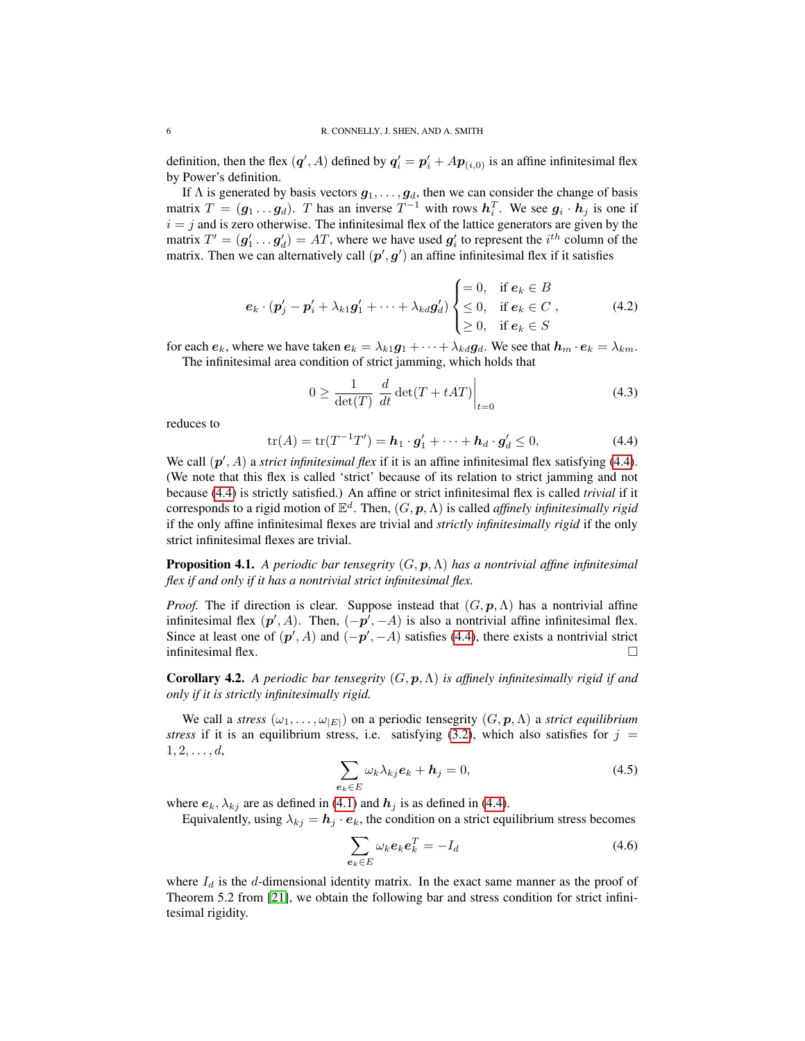definition, then the flex  $(q', A)$  defined by  $q'_i = p'_i + Ap_{(i,0)}$  is an affine infinitesimal flex by Power's definition.

If  $\Lambda$  is generated by basis vectors  $g_1, \ldots, g_d$ , then we can consider the change of basis matrix  $T = (\mathbf{g}_1 \dots \mathbf{g}_d)$ . T has an inverse  $T^{-1}$  with rows  $\mathbf{h}_i^T$ . We see  $\mathbf{g}_i \cdot \mathbf{h}_j$  is one if  $i = j$  and is zero otherwise. The infinitesimal flex of the lattice generators are given by the matrix  $T' = (\mathbf{g}'_1 \dots \mathbf{g}'_d) = AT$ , where we have used  $\mathbf{g}'_i$  to represent the  $i^{th}$  column of the matrix. Then we can alternatively call  $(p', g')$  an affine infinitesimal flex if it satisfies

$$
\boldsymbol{e}_k \cdot (\boldsymbol{p}'_j - \boldsymbol{p}'_i + \lambda_{k1} \boldsymbol{g}'_1 + \cdots + \lambda_{kd} \boldsymbol{g}'_d) \begin{cases} = 0, & \text{if } \boldsymbol{e}_k \in B \\ \leq 0, & \text{if } \boldsymbol{e}_k \in C \\ \geq 0, & \text{if } \boldsymbol{e}_k \in S \end{cases}
$$
 (4.2)

for each  $e_k$ , where we have taken  $e_k = \lambda_{k1}g_1 + \cdots + \lambda_{kd}g_d$ . We see that  $h_m \cdot e_k = \lambda_{km}$ . The infinitesimal area condition of strict jamming, which holds that

$$
0 \ge \frac{1}{\det(T)} \left. \frac{d}{dt} \det(T + tAT) \right|_{t=0} \tag{4.3}
$$

reduces to

<span id="page-5-0"></span>
$$
\operatorname{tr}(A) = \operatorname{tr}(T^{-1}T') = \boldsymbol{h}_1 \cdot \boldsymbol{g}_1' + \cdots + \boldsymbol{h}_d \cdot \boldsymbol{g}_d' \le 0,
$$
\n(4.4)

We call  $(p', A)$  a *strict infinitesimal flex* if it is an affine infinitesimal flex satisfying [\(4.4\)](#page-5-0). (We note that this flex is called 'strict' because of its relation to strict jamming and not because [\(4.4\)](#page-5-0) is strictly satisfied.) An affine or strict infinitesimal flex is called *trivial* if it corresponds to a rigid motion of  $\mathbb{E}^d$ . Then,  $(G, \mathbf{p}, \Lambda)$  is called *affinely infinitesimally rigid* if the only affine infinitesimal flexes are trivial and *strictly infinitesimally rigid* if the only strict infinitesimal flexes are trivial.

<span id="page-5-1"></span>Proposition 4.1. *A periodic bar tensegrity* (G, p,Λ) *has a nontrivial affine infinitesimal flex if and only if it has a nontrivial strict infinitesimal flex.*

*Proof.* The if direction is clear. Suppose instead that  $(G, p, \Lambda)$  has a nontrivial affine infinitesimal flex  $(p', A)$ . Then,  $(-p', -A)$  is also a nontrivial affine infinitesimal flex. Since at least one of  $(p', A)$  and  $(-p', -A)$  satisfies [\(4.4\)](#page-5-0), there exists a nontrivial strict infinitesimal flex.

Corollary 4.2. *A periodic bar tensegrity* (G, p,Λ) *is affinely infinitesimally rigid if and only if it is strictly infinitesimally rigid.*

We call a *stress*  $(\omega_1, \dots, \omega_{|E|})$  on a periodic tensegrity  $(G, p, \Lambda)$  a *strict equilibrium stress* if it is an equilibrium stress, i.e. satisfying  $(3.2)$ , which also satisfies for  $j =$  $1, 2, \ldots, d,$ 

$$
\sum_{\mathbf{e}_k \in E} \omega_k \lambda_{kj} \mathbf{e}_k + \mathbf{h}_j = 0, \tag{4.5}
$$

where  $e_k$ ,  $\lambda_{kj}$  are as defined in [\(4.1\)](#page-4-3) and  $h_j$  is as defined in [\(4.4\)](#page-5-0).

Equivalently, using  $\lambda_{kj} = h_j \cdot e_k$ , the condition on a strict equilibrium stress becomes

<span id="page-5-2"></span>
$$
\sum_{\mathbf{e}_k \in E} \omega_k \mathbf{e}_k \mathbf{e}_k^T = -I_d \tag{4.6}
$$

where  $I_d$  is the d-dimensional identity matrix. In the exact same manner as the proof of Theorem 5.2 from [\[21\]](#page-21-4), we obtain the following bar and stress condition for strict infinitesimal rigidity.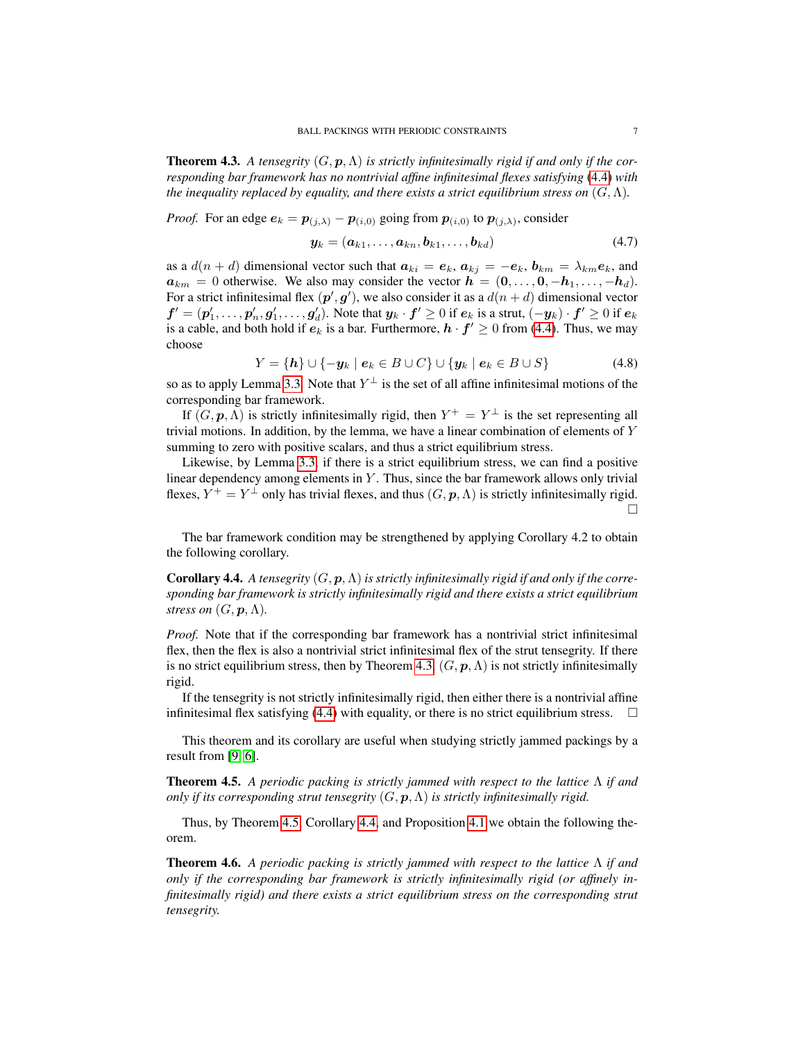<span id="page-6-0"></span>**Theorem 4.3.** A tensegrity  $(G, p, \Lambda)$  is strictly infinitesimally rigid if and only if the cor*responding bar framework has no nontrivial affine infinitesimal flexes satisfying* [\(4.4\)](#page-5-0) *with the inequality replaced by equality, and there exists a strict equilibrium stress on*  $(G, \Lambda)$ *.* 

*Proof.* For an edge  $e_k = p_{(j,\lambda)} - p_{(i,0)}$  going from  $p_{(i,0)}$  to  $p_{(j,\lambda)}$ , consider

$$
\mathbf{y}_k = (\mathbf{a}_{k1}, \dots, \mathbf{a}_{kn}, \mathbf{b}_{k1}, \dots, \mathbf{b}_{kd}) \tag{4.7}
$$

as a  $d(n+d)$  dimensional vector such that  $a_{ki} = e_k$ ,  $a_{kj} = -e_k$ ,  $b_{km} = \lambda_{km}e_k$ , and  $a_{km} = 0$  otherwise. We also may consider the vector  $h = (0, \ldots, 0, -h_1, \ldots, -h_d)$ . For a strict infinitesimal flex  $(p', g')$ , we also consider it as a  $d(n + d)$  dimensional vector  $f'=(p_1',\ldots,p_n',g_1',\ldots,g_d')$ . Note that  $y_k\cdot f'\geq 0$  if  $e_k$  is a strut,  $(-y_k)\cdot f'\geq 0$  if  $e_k$ is a cable, and both hold if  $e_k$  is a bar. Furthermore,  $h \cdot f' \geq 0$  from [\(4.4\)](#page-5-0). Thus, we may choose

$$
Y = \{h\} \cup \{-y_k \mid e_k \in B \cup C\} \cup \{y_k \mid e_k \in B \cup S\}
$$
 (4.8)

so as to apply Lemma [3.3.](#page-4-0) Note that  $Y^{\perp}$  is the set of all affine infinitesimal motions of the corresponding bar framework.

If  $(G, p, \Lambda)$  is strictly infinitesimally rigid, then  $Y^+ = Y^{\perp}$  is the set representing all trivial motions. In addition, by the lemma, we have a linear combination of elements of  $Y$ summing to zero with positive scalars, and thus a strict equilibrium stress.

Likewise, by Lemma [3.3,](#page-4-0) if there is a strict equilibrium stress, we can find a positive linear dependency among elements in Y. Thus, since the bar framework allows only trivial flexes,  $Y^+ = Y^{\perp}$  only has trivial flexes, and thus  $(G, \mathbf{p}, \Lambda)$  is strictly infinitesimally rigid. П

The bar framework condition may be strengthened by applying Corollary 4.2 to obtain the following corollary.

<span id="page-6-2"></span>**Corollary 4.4.** *A tensegrity*  $(G, p, \Lambda)$  *is strictly infinitesimally rigid if and only if the corresponding bar framework is strictly infinitesimally rigid and there exists a strict equilibrium stress on*  $(G, \mathbf{p}, \Lambda)$ .

*Proof.* Note that if the corresponding bar framework has a nontrivial strict infinitesimal flex, then the flex is also a nontrivial strict infinitesimal flex of the strut tensegrity. If there is no strict equilibrium stress, then by Theorem [4.3,](#page-6-0)  $(G, \mathbf{p}, \Lambda)$  is not strictly infinitesimally rigid.

If the tensegrity is not strictly infinitesimally rigid, then either there is a nontrivial affine infinitesimal flex satisfying [\(4.4\)](#page-5-0) with equality, or there is no strict equilibrium stress.  $\Box$ 

This theorem and its corollary are useful when studying strictly jammed packings by a result from [\[9,](#page-20-5) [6\]](#page-20-3).

<span id="page-6-1"></span>Theorem 4.5. *A periodic packing is strictly jammed with respect to the lattice* Λ *if and only if its corresponding strut tensegrity*  $(G, \mathbf{p}, \Lambda)$  *is strictly infinitesimally rigid.* 

Thus, by Theorem [4.5,](#page-6-1) Corollary [4.4,](#page-6-2) and Proposition [4.1](#page-5-1) we obtain the following theorem.

Theorem 4.6. *A periodic packing is strictly jammed with respect to the lattice* Λ *if and only if the corresponding bar framework is strictly infinitesimally rigid (or affinely infinitesimally rigid) and there exists a strict equilibrium stress on the corresponding strut tensegrity.*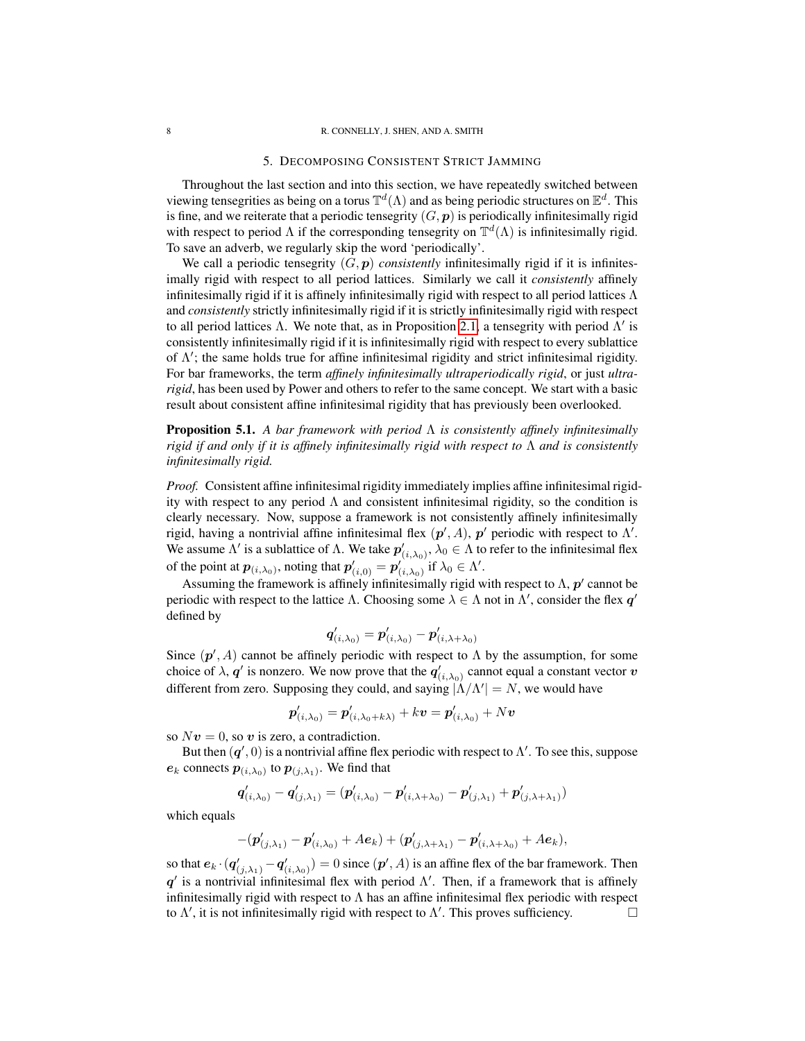### 5. DECOMPOSING CONSISTENT STRICT JAMMING

Throughout the last section and into this section, we have repeatedly switched between viewing tensegrities as being on a torus  $\mathbb{T}^d(\Lambda)$  and as being periodic structures on  $\mathbb{E}^d$ . This is fine, and we reiterate that a periodic tensegrity  $(G, p)$  is periodically infinitesimally rigid with respect to period  $\Lambda$  if the corresponding tensegrity on  $\mathbb{T}^d(\Lambda)$  is infinitesimally rigid. To save an adverb, we regularly skip the word 'periodically'.

We call a periodic tensegrity  $(G, p)$  *consistently* infinitesimally rigid if it is infinitesimally rigid with respect to all period lattices. Similarly we call it *consistently* affinely infinitesimally rigid if it is affinely infinitesimally rigid with respect to all period lattices  $\Lambda$ and *consistently* strictly infinitesimally rigid if it is strictly infinitesimally rigid with respect to all period lattices Λ. We note that, as in Proposition [2.1,](#page-2-0) a tensegrity with period  $Λ'$  is consistently infinitesimally rigid if it is infinitesimally rigid with respect to every sublattice of  $\Lambda'$ ; the same holds true for affine infinitesimal rigidity and strict infinitesimal rigidity. For bar frameworks, the term *affinely infinitesimally ultraperiodically rigid*, or just *ultrarigid*, has been used by Power and others to refer to the same concept. We start with a basic result about consistent affine infinitesimal rigidity that has previously been overlooked.

<span id="page-7-0"></span>Proposition 5.1. *A bar framework with period* Λ *is consistently affinely infinitesimally rigid if and only if it is affinely infinitesimally rigid with respect to* Λ *and is consistently infinitesimally rigid.*

*Proof.* Consistent affine infinitesimal rigidity immediately implies affine infinitesimal rigidity with respect to any period  $\Lambda$  and consistent infinitesimal rigidity, so the condition is clearly necessary. Now, suppose a framework is not consistently affinely infinitesimally rigid, having a nontrivial affine infinitesimal flex  $(p', A)$ ,  $p'$  periodic with respect to  $\Lambda'$ . We assume  $\Lambda'$  is a sublattice of  $\Lambda$ . We take  $p'_{(i,\lambda_0)}, \lambda_0 \in \Lambda$  to refer to the infinitesimal flex of the point at  $p_{(i,\lambda_0)}$ , noting that  $p'_{(i,0)} = p'_{(i,\lambda_0)}$  if  $\lambda_0 \in \Lambda'$ .

Assuming the framework is affinely infinitesimally rigid with respect to  $\Lambda$ ,  $p'$  cannot be periodic with respect to the lattice  $\Lambda$ . Choosing some  $\lambda \in \Lambda$  not in  $\Lambda'$ , consider the flex  $q'$ defined by

$$
\bm{q}^\prime_{(i,\lambda_0)} = \bm{p}^\prime_{(i,\lambda_0)} - \bm{p}^\prime_{(i,\lambda+\lambda_0)}
$$

Since  $(p', A)$  cannot be affinely periodic with respect to  $\Lambda$  by the assumption, for some choice of  $\lambda$ ,  $\bm{q}'$  is nonzero. We now prove that the  $\bm{q}'_{(i,\lambda_0)}$  cannot equal a constant vector  $\bm{v}$ different from zero. Supposing they could, and saying  $|\Lambda/\Lambda'| = N$ , we would have

$$
\boldsymbol{p}'_{(i,\lambda_0)} = \boldsymbol{p}'_{(i,\lambda_0+k\lambda)} + k \boldsymbol{v} = \boldsymbol{p}'_{(i,\lambda_0)} + N \boldsymbol{v}
$$

so  $Nv = 0$ , so v is zero, a contradiction.

But then  $(q', 0)$  is a nontrivial affine flex periodic with respect to  $\Lambda'$ . To see this, suppose  $e_k$  connects  $p_{(i,\lambda_0)}$  to  $p_{(j,\lambda_1)}$ . We find that

$$
\boldsymbol{q}_{(i,\lambda_0)}' - \boldsymbol{q}_{(j,\lambda_1)}' = (\boldsymbol{p}_{(i,\lambda_0)}' - \boldsymbol{p}_{(i,\lambda+\lambda_0)}' - \boldsymbol{p}_{(j,\lambda_1)}' + \boldsymbol{p}_{(j,\lambda+\lambda_1)}')
$$

which equals

$$
-(\bm{p}'_{(j,\lambda_1)}-\bm{p}'_{(i,\lambda_0)}+A\bm{e}_k)+(\bm{p}'_{(j,\lambda+\lambda_1)}-\bm{p}'_{(i,\lambda+\lambda_0)}+A\bm{e}_k),
$$

so that  $e_k \cdot (q'_{(j,\lambda_1)} - q'_{(i,\lambda_0)}) = 0$  since  $(p', A)$  is an affine flex of the bar framework. Then  $q'$  is a nontrivial infinitesimal flex with period  $\Lambda'$ . Then, if a framework that is affinely infinitesimally rigid with respect to  $\Lambda$  has an affine infinitesimal flex periodic with respect to  $\Lambda'$ , it is not infinitesimally rigid with respect to  $\Lambda'$ . This proves sufficiency.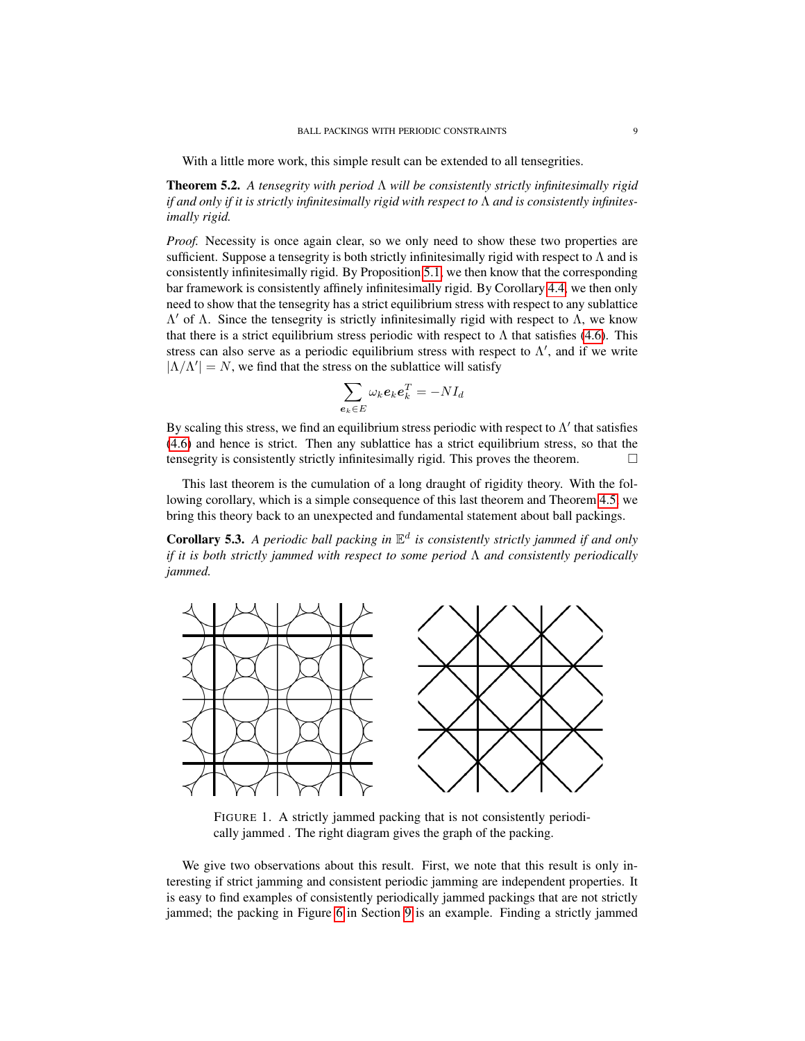With a little more work, this simple result can be extended to all tensegrities.

<span id="page-8-1"></span>Theorem 5.2. *A tensegrity with period* Λ *will be consistently strictly infinitesimally rigid if and only if it is strictly infinitesimally rigid with respect to* Λ *and is consistently infinitesimally rigid.*

*Proof.* Necessity is once again clear, so we only need to show these two properties are sufficient. Suppose a tensegrity is both strictly infinitesimally rigid with respect to  $\Lambda$  and is consistently infinitesimally rigid. By Proposition [5.1,](#page-7-0) we then know that the corresponding bar framework is consistently affinely infinitesimally rigid. By Corollary [4.4,](#page-6-2) we then only need to show that the tensegrity has a strict equilibrium stress with respect to any sublattice  $Λ'$  of Λ. Since the tensegrity is strictly infinitesimally rigid with respect to Λ, we know that there is a strict equilibrium stress periodic with respect to  $\Lambda$  that satisfies [\(4.6\)](#page-5-2). This stress can also serve as a periodic equilibrium stress with respect to  $\Lambda'$ , and if we write  $|\Lambda/\Lambda'| = N$ , we find that the stress on the sublattice will satisfy

$$
\sum_{\bm{e}_k \in E} \omega_k \bm{e}_k \bm{e}_k^T = -N I_d
$$

By scaling this stress, we find an equilibrium stress periodic with respect to  $\Lambda'$  that satisfies [\(4.6\)](#page-5-2) and hence is strict. Then any sublattice has a strict equilibrium stress, so that the tensegrity is consistently strictly infinitesimally rigid. This proves the theorem.  $\Box$ 

This last theorem is the cumulation of a long draught of rigidity theory. With the following corollary, which is a simple consequence of this last theorem and Theorem [4.5,](#page-6-1) we bring this theory back to an unexpected and fundamental statement about ball packings.

**Corollary 5.3.** A periodic ball packing in  $\mathbb{E}^d$  is consistently strictly jammed if and only *if it is both strictly jammed with respect to some period* Λ *and consistently periodically jammed.*



<span id="page-8-0"></span>FIGURE 1. A strictly jammed packing that is not consistently periodically jammed . The right diagram gives the graph of the packing.

We give two observations about this result. First, we note that this result is only interesting if strict jamming and consistent periodic jamming are independent properties. It is easy to find examples of consistently periodically jammed packings that are not strictly jammed; the packing in Figure [6](#page-18-0) in Section [9](#page-17-0) is an example. Finding a strictly jammed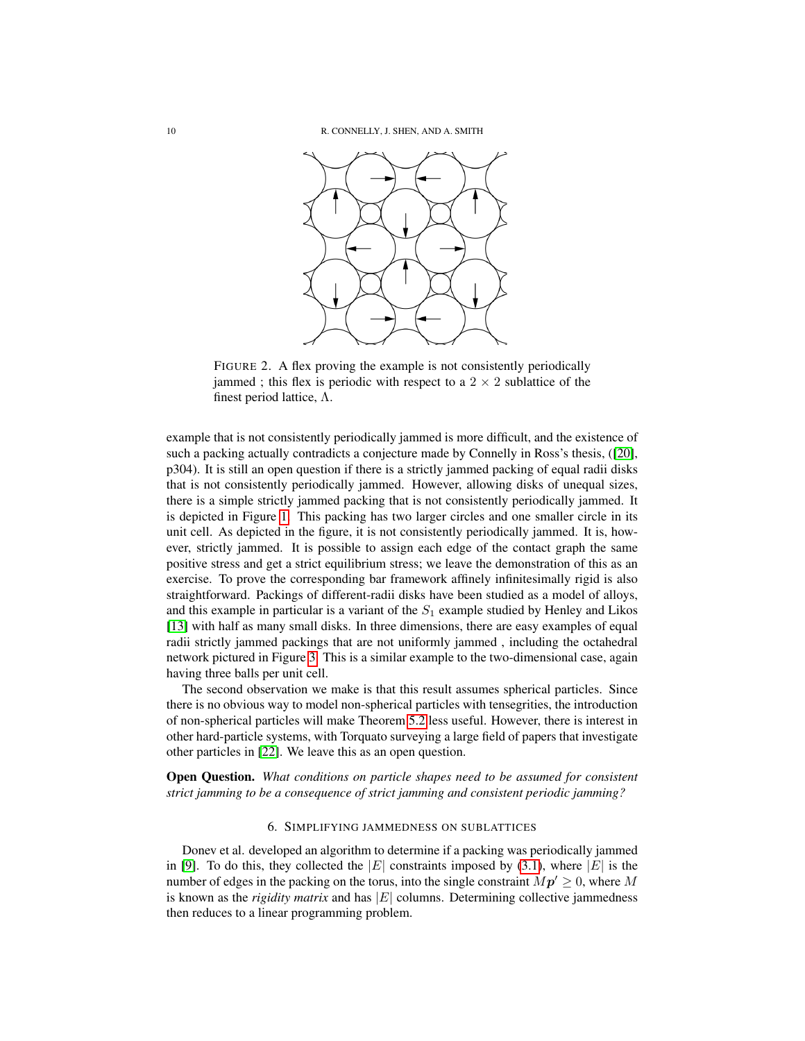

FIGURE 2. A flex proving the example is not consistently periodically jammed ; this flex is periodic with respect to a  $2 \times 2$  sublattice of the finest period lattice, Λ.

example that is not consistently periodically jammed is more difficult, and the existence of such a packing actually contradicts a conjecture made by Connelly in Ross's thesis, ([\[20\]](#page-21-3), p304). It is still an open question if there is a strictly jammed packing of equal radii disks that is not consistently periodically jammed. However, allowing disks of unequal sizes, there is a simple strictly jammed packing that is not consistently periodically jammed. It is depicted in Figure [1.](#page-8-0) This packing has two larger circles and one smaller circle in its unit cell. As depicted in the figure, it is not consistently periodically jammed. It is, however, strictly jammed. It is possible to assign each edge of the contact graph the same positive stress and get a strict equilibrium stress; we leave the demonstration of this as an exercise. To prove the corresponding bar framework affinely infinitesimally rigid is also straightforward. Packings of different-radii disks have been studied as a model of alloys, and this example in particular is a variant of the  $S_1$  example studied by Henley and Likos [\[13\]](#page-20-9) with half as many small disks. In three dimensions, there are easy examples of equal radii strictly jammed packings that are not uniformly jammed , including the octahedral network pictured in Figure [3.](#page-10-0) This is a similar example to the two-dimensional case, again having three balls per unit cell.

The second observation we make is that this result assumes spherical particles. Since there is no obvious way to model non-spherical particles with tensegrities, the introduction of non-spherical particles will make Theorem [5.2](#page-8-1) less useful. However, there is interest in other hard-particle systems, with Torquato surveying a large field of papers that investigate other particles in [\[22\]](#page-21-0). We leave this as an open question.

Open Question. *What conditions on particle shapes need to be assumed for consistent strict jamming to be a consequence of strict jamming and consistent periodic jamming?*

# 6. SIMPLIFYING JAMMEDNESS ON SUBLATTICES

Donev et al. developed an algorithm to determine if a packing was periodically jammed in [\[9\]](#page-20-5). To do this, they collected the |E| constraints imposed by [\(3.1\)](#page-3-2), where |E| is the number of edges in the packing on the torus, into the single constraint  $Mp' \geq 0$ , where M is known as the *rigidity matrix* and has  $|E|$  columns. Determining collective jammedness then reduces to a linear programming problem.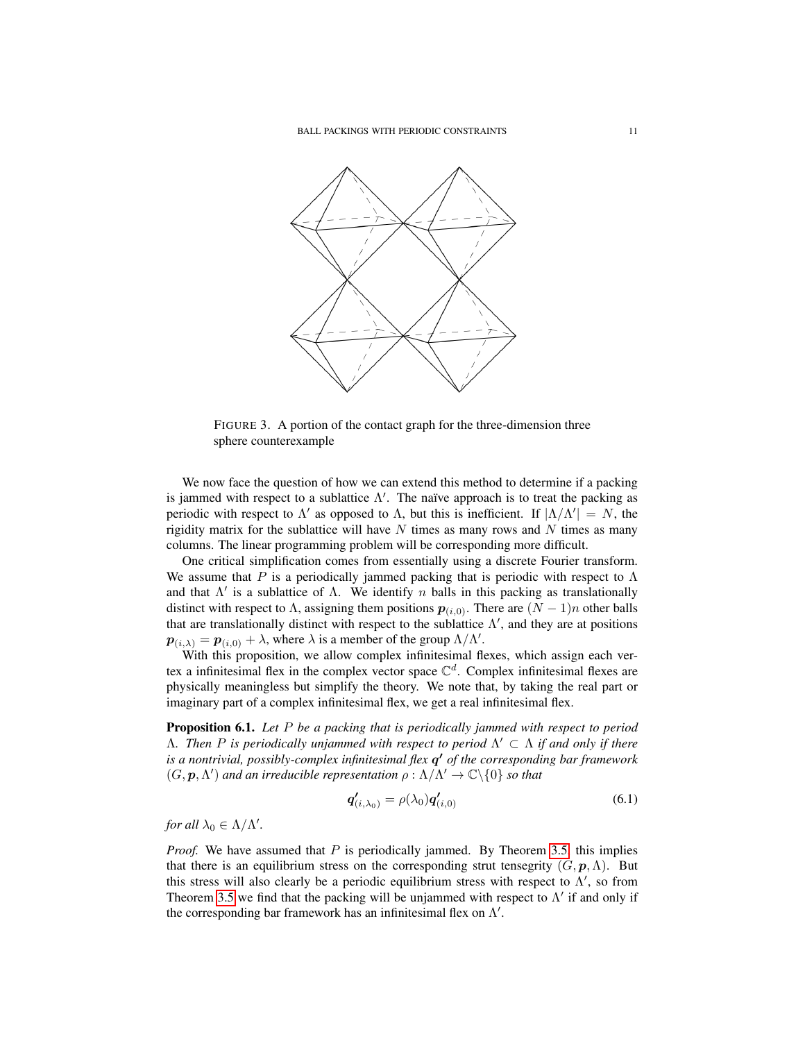

<span id="page-10-0"></span>FIGURE 3. A portion of the contact graph for the three-dimension three sphere counterexample

We now face the question of how we can extend this method to determine if a packing is jammed with respect to a sublattice  $\Lambda'$ . The naïve approach is to treat the packing as periodic with respect to  $\Lambda'$  as opposed to  $\Lambda$ , but this is inefficient. If  $|\Lambda/\Lambda'| = N$ , the rigidity matrix for the sublattice will have  $N$  times as many rows and  $N$  times as many columns. The linear programming problem will be corresponding more difficult.

One critical simplification comes from essentially using a discrete Fourier transform. We assume that P is a periodically jammed packing that is periodic with respect to  $\Lambda$ and that  $\Lambda'$  is a sublattice of  $\Lambda$ . We identify n balls in this packing as translationally distinct with respect to  $\Lambda$ , assigning them positions  $p_{(i,0)}$ . There are  $(N-1)n$  other balls that are translationally distinct with respect to the sublattice  $\Lambda'$ , and they are at positions  $\mathbf{p}_{(i,\lambda)} = \mathbf{p}_{(i,0)} + \lambda$ , where  $\lambda$  is a member of the group  $\Lambda/\Lambda'$ .

With this proposition, we allow complex infinitesimal flexes, which assign each vertex a infinitesimal flex in the complex vector space  $\mathbb{C}^d$ . Complex infinitesimal flexes are physically meaningless but simplify the theory. We note that, by taking the real part or imaginary part of a complex infinitesimal flex, we get a real infinitesimal flex.

<span id="page-10-2"></span>Proposition 6.1. *Let* P *be a packing that is periodically jammed with respect to period* Λ*. Then* P *is periodically unjammed with respect to period* Λ <sup>0</sup> ⊂ Λ *if and only if there is a nontrivial, possibly-complex infinitesimal flex* q <sup>0</sup> *of the corresponding bar framework*  $(G, \mathbf{p}, \Lambda')$  and an irreducible representation  $\rho : \Lambda/\Lambda' \to \mathbb{C} \backslash \{0\}$  so that

<span id="page-10-1"></span>
$$
\boldsymbol{q}'_{(i,\lambda_0)} = \rho(\lambda_0) \boldsymbol{q}'_{(i,0)} \tag{6.1}
$$

*for all*  $\lambda_0 \in \Lambda/\Lambda'$ *.* 

*Proof.* We have assumed that P is periodically jammed. By Theorem [3.5,](#page-4-4) this implies that there is an equilibrium stress on the corresponding strut tensegrity  $(G, p, \Lambda)$ . But this stress will also clearly be a periodic equilibrium stress with respect to  $\Lambda'$ , so from Theorem [3.5](#page-4-4) we find that the packing will be unjammed with respect to  $\Lambda'$  if and only if the corresponding bar framework has an infinitesimal flex on  $\Lambda'$ .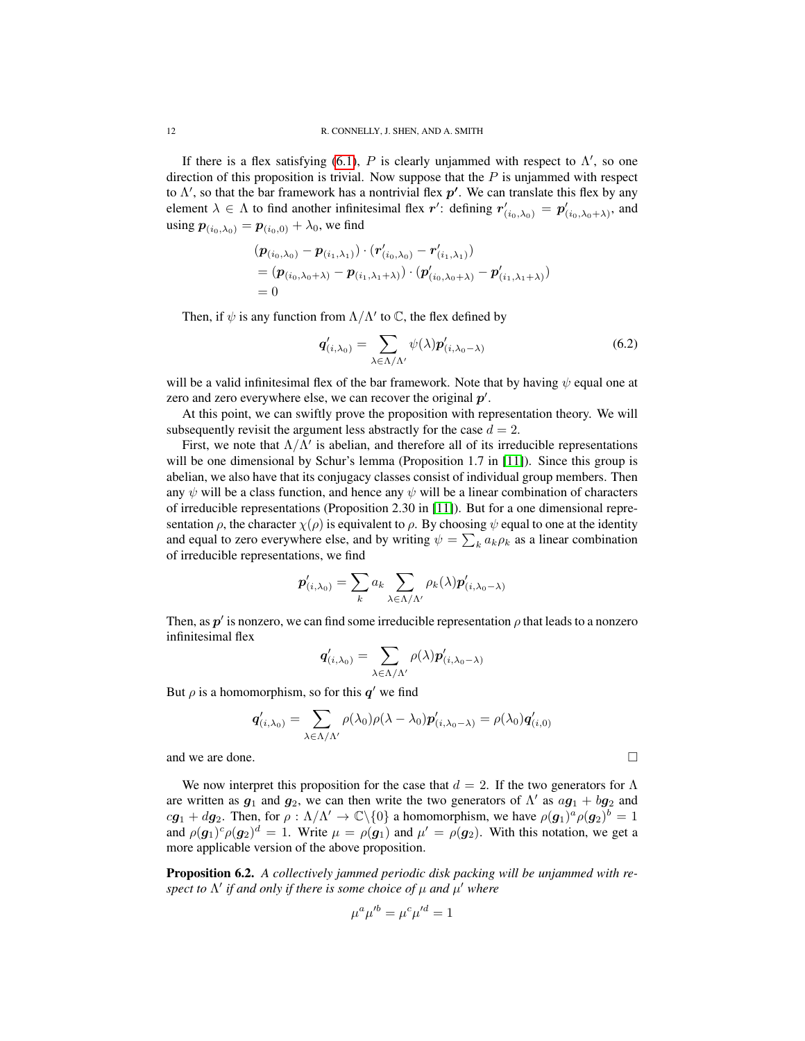If there is a flex satisfying [\(6.1\)](#page-10-1), P is clearly unjammed with respect to  $\Lambda'$ , so one direction of this proposition is trivial. Now suppose that the  $P$  is unjammed with respect to  $\Lambda'$ , so that the bar framework has a nontrivial flex  $p'$ . We can translate this flex by any element  $\lambda \in \Lambda$  to find another infinitesimal flex r': defining  $r'_{(i_0,\lambda_0)} = p'_{(i_0,\lambda_0+\lambda)}$ , and using  $p_{(i_0,\lambda_0)} = p_{(i_0,0)} + \lambda_0$ , we find

$$
(\boldsymbol{p}_{(i_0,\lambda_0)} - \boldsymbol{p}_{(i_1,\lambda_1)}) \cdot (\boldsymbol{r}'_{(i_0,\lambda_0)} - \boldsymbol{r}'_{(i_1,\lambda_1)})
$$
  
= (\boldsymbol{p}\_{(i\_0,\lambda\_0+\lambda)} - \boldsymbol{p}\_{(i\_1,\lambda\_1+\lambda)}) \cdot (\boldsymbol{p}'\_{(i\_0,\lambda\_0+\lambda)} - \boldsymbol{p}'\_{(i\_1,\lambda\_1+\lambda)})  
= 0

Then, if  $\psi$  is any function from  $\Lambda/\Lambda'$  to  $\mathbb{C}$ , the flex defined by

$$
\boldsymbol{q}'_{(i,\lambda_0)} = \sum_{\lambda \in \Lambda/\Lambda'} \psi(\lambda) \boldsymbol{p}'_{(i,\lambda_0-\lambda)} \tag{6.2}
$$

will be a valid infinitesimal flex of the bar framework. Note that by having  $\psi$  equal one at zero and zero everywhere else, we can recover the original  $p'$ .

At this point, we can swiftly prove the proposition with representation theory. We will subsequently revisit the argument less abstractly for the case  $d = 2$ .

First, we note that  $\Lambda/\Lambda'$  is abelian, and therefore all of its irreducible representations will be one dimensional by Schur's lemma (Proposition 1.7 in [\[11\]](#page-20-10)). Since this group is abelian, we also have that its conjugacy classes consist of individual group members. Then any  $\psi$  will be a class function, and hence any  $\psi$  will be a linear combination of characters of irreducible representations (Proposition 2.30 in [\[11\]](#page-20-10)). But for a one dimensional representation  $\rho$ , the character  $\chi(\rho)$  is equivalent to  $\rho$ . By choosing  $\psi$  equal to one at the identity and equal to zero everywhere else, and by writing  $\psi = \sum_k a_k \rho_k$  as a linear combination of irreducible representations, we find

$$
\boldsymbol{p}'_{(i,\lambda_0)} = \sum_{k} a_k \sum_{\lambda \in \Lambda/\Lambda'} \rho_k(\lambda) \boldsymbol{p}'_{(i,\lambda_0-\lambda)}
$$

Then, as  $p'$  is nonzero, we can find some irreducible representation  $\rho$  that leads to a nonzero infinitesimal flex

$$
\boldsymbol{q}_{(i,\lambda_0)}' = \sum_{\lambda \in \Lambda/\Lambda'} \rho(\lambda) \boldsymbol{p}_{(i,\lambda_0-\lambda)}'
$$

But  $\rho$  is a homomorphism, so for this  $q'$  we find

$$
\mathbf{q}'_{(i,\lambda_0)} = \sum_{\lambda \in \Lambda/\Lambda'} \rho(\lambda_0) \rho(\lambda - \lambda_0) \mathbf{p}'_{(i,\lambda_0 - \lambda)} = \rho(\lambda_0) \mathbf{q}'_{(i,0)}
$$
  
and we are done.

We now interpret this proposition for the case that  $d = 2$ . If the two generators for  $\Lambda$ are written as  $g_1$  and  $g_2$ , we can then write the two generators of  $\Lambda'$  as  $a\overline{g_1} + b\overline{g_2}$  and  $cg_1 + dg_2$ . Then, for  $\rho : \Lambda/\Lambda' \to \mathbb{C}\backslash\{0\}$  a homomorphism, we have  $\rho(g_1)^a \rho(g_2)^b = 1$ and  $\rho(\mathbf{g}_1)^c \rho(\mathbf{g}_2)^d = 1$ . Write  $\mu = \rho(\mathbf{g}_1)$  and  $\mu' = \rho(\mathbf{g}_2)$ . With this notation, we get a more applicable version of the above proposition.

<span id="page-11-0"></span>Proposition 6.2. *A collectively jammed periodic disk packing will be unjammed with respect to*  $\Lambda'$  *if and only if there is some choice of*  $\mu$  *and*  $\mu'$  *where* 

$$
\mu^a \mu^{\prime b} = \mu^c \mu^{\prime d} = 1
$$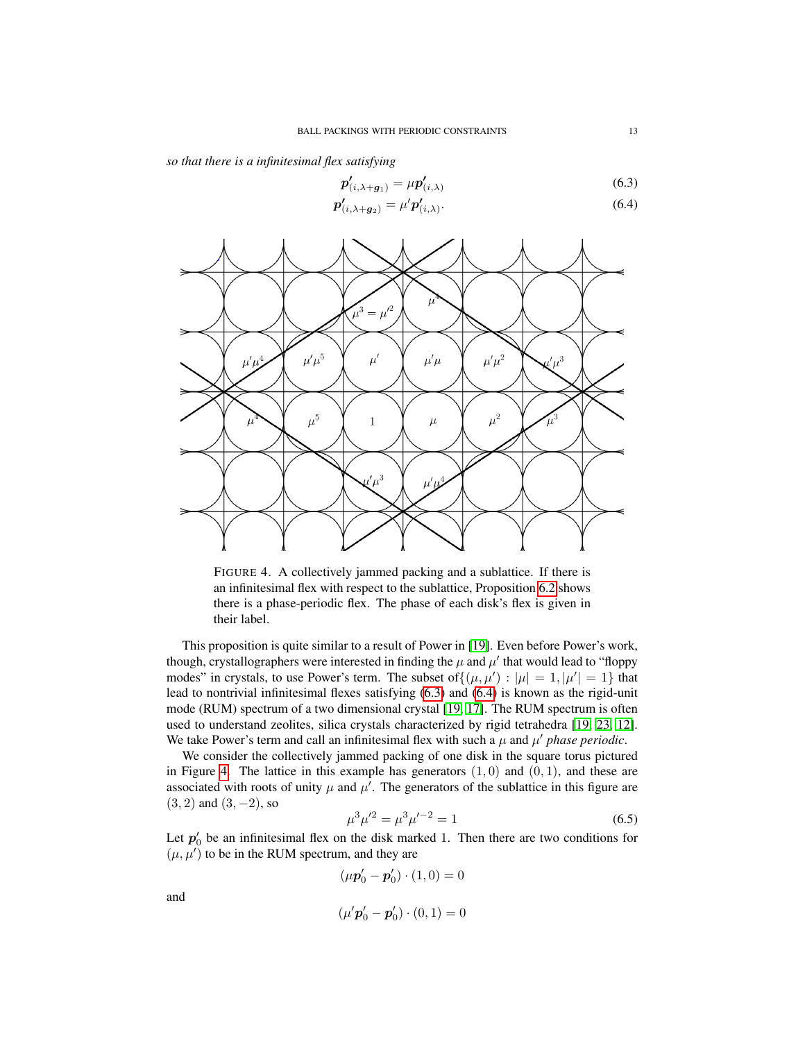*so that there is a infinitesimal flex satisfying*

<span id="page-12-0"></span>
$$
\boldsymbol{p}'_{(i,\lambda+g_1)} = \mu \boldsymbol{p}'_{(i,\lambda)} \tag{6.3}
$$

$$
\boldsymbol{p}'_{(i,\lambda+g_2)} = \mu' \boldsymbol{p}'_{(i,\lambda)}.
$$
\n(6.4)



<span id="page-12-1"></span>FIGURE 4. A collectively jammed packing and a sublattice. If there is an infinitesimal flex with respect to the sublattice, Proposition [6.2](#page-11-0) shows there is a phase-periodic flex. The phase of each disk's flex is given in their label.

This proposition is quite similar to a result of Power in [\[19\]](#page-21-7). Even before Power's work, though, crystallographers were interested in finding the  $\mu$  and  $\mu'$  that would lead to "floppy modes" in crystals, to use Power's term. The subset of  $\{(\mu, \mu'): |\mu| = 1, |\mu'| = 1\}$  that lead to nontrivial infinitesimal flexes satisfying [\(6.3\)](#page-12-0) and [\(6.4\)](#page-12-0) is known as the rigid-unit mode (RUM) spectrum of a two dimensional crystal [\[19,](#page-21-7) [17\]](#page-21-6). The RUM spectrum is often used to understand zeolites, silica crystals characterized by rigid tetrahedra [\[19,](#page-21-7) [23,](#page-21-5) [12\]](#page-20-11). We take Power's term and call an infinitesimal flex with such a  $\mu$  and  $\mu'$  phase periodic.

We consider the collectively jammed packing of one disk in the square torus pictured in Figure [4.](#page-12-1) The lattice in this example has generators  $(1, 0)$  and  $(0, 1)$ , and these are associated with roots of unity  $\mu$  and  $\mu'$ . The generators of the sublattice in this figure are  $(3, 2)$  and  $(3, -2)$ , so

<span id="page-12-2"></span>
$$
\mu^3 \mu'^2 = \mu^3 \mu'^{-2} = 1 \tag{6.5}
$$

Let  $p'_0$  be an infinitesimal flex on the disk marked 1. Then there are two conditions for  $(\mu, \mu')$  to be in the RUM spectrum, and they are

$$
(\mu \mathbf{p}'_0 - \mathbf{p}'_0) \cdot (1,0) = 0
$$

and

$$
(\mu' \mathbf{p}_0' - \mathbf{p}_0') \cdot (0,1) = 0
$$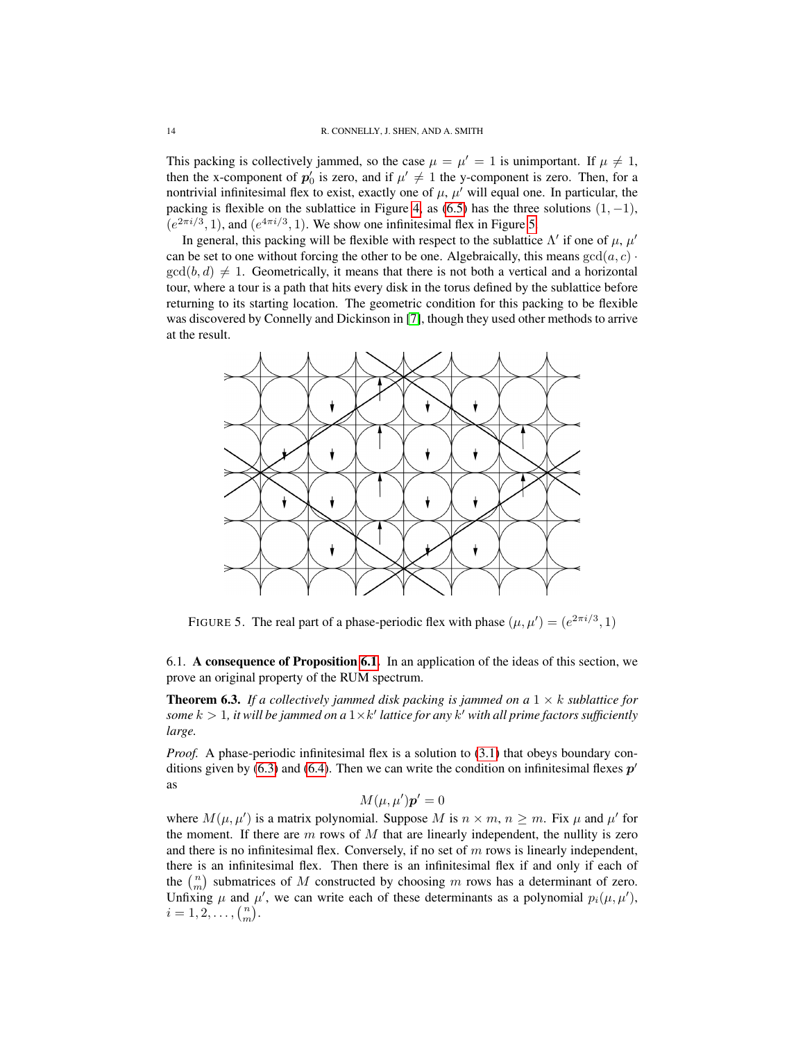This packing is collectively jammed, so the case  $\mu = \mu' = 1$  is unimportant. If  $\mu \neq 1$ , then the x-component of  $p'_0$  is zero, and if  $\mu' \neq 1$  the y-component is zero. Then, for a nontrivial infinitesimal flex to exist, exactly one of  $\mu$ ,  $\mu'$  will equal one. In particular, the packing is flexible on the sublattice in Figure [4,](#page-12-1) as [\(6.5\)](#page-12-2) has the three solutions  $(1, -1)$ ,  $(e^{2\pi i/3}, 1)$ , and  $(e^{4\pi i/3}, 1)$ . We show one infinitesimal flex in Figure [5.](#page-13-0)

In general, this packing will be flexible with respect to the sublattice  $\Lambda'$  if one of  $\mu$ ,  $\mu'$ can be set to one without forcing the other to be one. Algebraically, this means  $gcd(a, c)$ .  $gcd(b, d) \neq 1$ . Geometrically, it means that there is not both a vertical and a horizontal tour, where a tour is a path that hits every disk in the torus defined by the sublattice before returning to its starting location. The geometric condition for this packing to be flexible was discovered by Connelly and Dickinson in [\[7\]](#page-20-2), though they used other methods to arrive at the result.



<span id="page-13-0"></span>FIGURE 5. The real part of a phase-periodic flex with phase  $(\mu, \mu') = (e^{2\pi i/3}, 1)$ 

6.1. A consequence of Proposition [6.1.](#page-10-2) In an application of the ideas of this section, we prove an original property of the RUM spectrum.

<span id="page-13-1"></span>**Theorem 6.3.** If a collectively jammed disk packing is jammed on a  $1 \times k$  sublattice for some  $k > 1$ , it will be jammed on a  $1 \times k'$  lattice for any  $k'$  with all prime factors sufficiently *large.*

*Proof.* A phase-periodic infinitesimal flex is a solution to [\(3.1\)](#page-3-2) that obeys boundary con-ditions given by [\(6.3\)](#page-12-0) and [\(6.4\)](#page-12-0). Then we can write the condition on infinitesimal flexes  $p'$ as

$$
M(\mu, \mu')\mathbf{p}' = 0
$$

where  $M(\mu, \mu')$  is a matrix polynomial. Suppose M is  $n \times m$ ,  $n \ge m$ . Fix  $\mu$  and  $\mu'$  for the moment. If there are  $m$  rows of  $M$  that are linearly independent, the nullity is zero and there is no infinitesimal flex. Conversely, if no set of  $m$  rows is linearly independent, there is an infinitesimal flex. Then there is an infinitesimal flex if and only if each of the  $\binom{n}{m}$  submatrices of M constructed by choosing m rows has a determinant of zero. Unfixing  $\mu$  and  $\mu'$ , we can write each of these determinants as a polynomial  $p_i(\mu, \mu')$ ,  $i = 1, 2, \ldots, {n \choose m}.$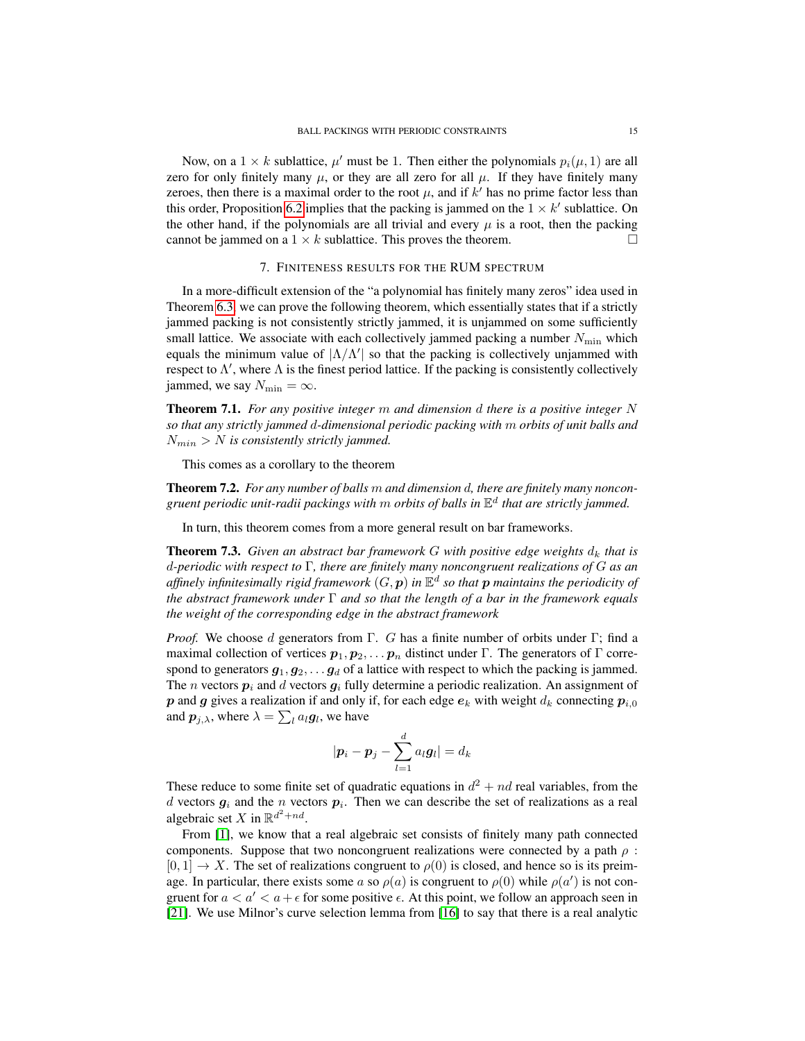Now, on a  $1 \times k$  sublattice,  $\mu'$  must be 1. Then either the polynomials  $p_i(\mu, 1)$  are all zero for only finitely many  $\mu$ , or they are all zero for all  $\mu$ . If they have finitely many zeroes, then there is a maximal order to the root  $\mu$ , and if  $k'$  has no prime factor less than this order, Proposition [6.2](#page-11-0) implies that the packing is jammed on the  $1 \times k'$  sublattice. On the other hand, if the polynomials are all trivial and every  $\mu$  is a root, then the packing cannot be jammed on a  $1 \times k$  sublattice. This proves the theorem.

## 7. FINITENESS RESULTS FOR THE RUM SPECTRUM

<span id="page-14-2"></span>In a more-difficult extension of the "a polynomial has finitely many zeros" idea used in Theorem [6.3,](#page-13-1) we can prove the following theorem, which essentially states that if a strictly jammed packing is not consistently strictly jammed, it is unjammed on some sufficiently small lattice. We associate with each collectively jammed packing a number  $N_{\text{min}}$  which equals the minimum value of  $|\Lambda/\Lambda'|$  so that the packing is collectively unjammed with respect to  $\Lambda'$ , where  $\Lambda$  is the finest period lattice. If the packing is consistently collectively jammed, we say  $N_{\text{min}} = \infty$ .

<span id="page-14-1"></span>Theorem 7.1. *For any positive integer* m *and dimension* d *there is a positive integer* N *so that any strictly jammed* d*-dimensional periodic packing with* m *orbits of unit balls and*  $N_{min} > N$  is consistently strictly jammed.

This comes as a corollary to the theorem

<span id="page-14-0"></span>Theorem 7.2. *For any number of balls* m *and dimension* d*, there are finitely many noncongruent periodic unit-radii packings with* m *orbits of balls in* E d *that are strictly jammed.*

In turn, this theorem comes from a more general result on bar frameworks.

**Theorem 7.3.** Given an abstract bar framework G with positive edge weights  $d_k$  that is d*-periodic with respect to* Γ*, there are finitely many noncongruent realizations of* G *as an* affinely infinitesimally rigid framework  $(G, \boldsymbol{p})$  in  $\mathbb{E}^d$  so that  $\boldsymbol{p}$  maintains the periodicity of *the abstract framework under* Γ *and so that the length of a bar in the framework equals the weight of the corresponding edge in the abstract framework*

*Proof.* We choose d generators from Γ. G has a finite number of orbits under Γ; find a maximal collection of vertices  $p_1, p_2, \ldots, p_n$  distinct under Γ. The generators of Γ correspond to generators  $g_1, g_2, \ldots, g_d$  of a lattice with respect to which the packing is jammed. The *n* vectors  $p_i$  and *d* vectors  $g_i$  fully determine a periodic realization. An assignment of p and g gives a realization if and only if, for each edge  $e_k$  with weight  $d_k$  connecting  $p_{i,0}$ and  $p_{j,\lambda}$ , where  $\lambda = \sum_l a_l \boldsymbol{g}_l$ , we have

$$
|\boldsymbol{p}_i - \boldsymbol{p}_j - \sum_{l=1}^d a_l \boldsymbol{g}_l| = d_k
$$

These reduce to some finite set of quadratic equations in  $d^2 + nd$  real variables, from the d vectors  $g_i$  and the n vectors  $p_i$ . Then we can describe the set of realizations as a real algebraic set X in  $\mathbb{R}^{d^2+nd}$ .

From [\[1\]](#page-20-12), we know that a real algebraic set consists of finitely many path connected components. Suppose that two noncongruent realizations were connected by a path  $\rho$ :  $[0, 1] \rightarrow X$ . The set of realizations congruent to  $\rho(0)$  is closed, and hence so is its preimage. In particular, there exists some a so  $\rho(a)$  is congruent to  $\rho(0)$  while  $\rho(a')$  is not congruent for  $a < a' < a + \epsilon$  for some positive  $\epsilon$ . At this point, we follow an approach seen in [\[21\]](#page-21-4). We use Milnor's curve selection lemma from [\[16\]](#page-21-8) to say that there is a real analytic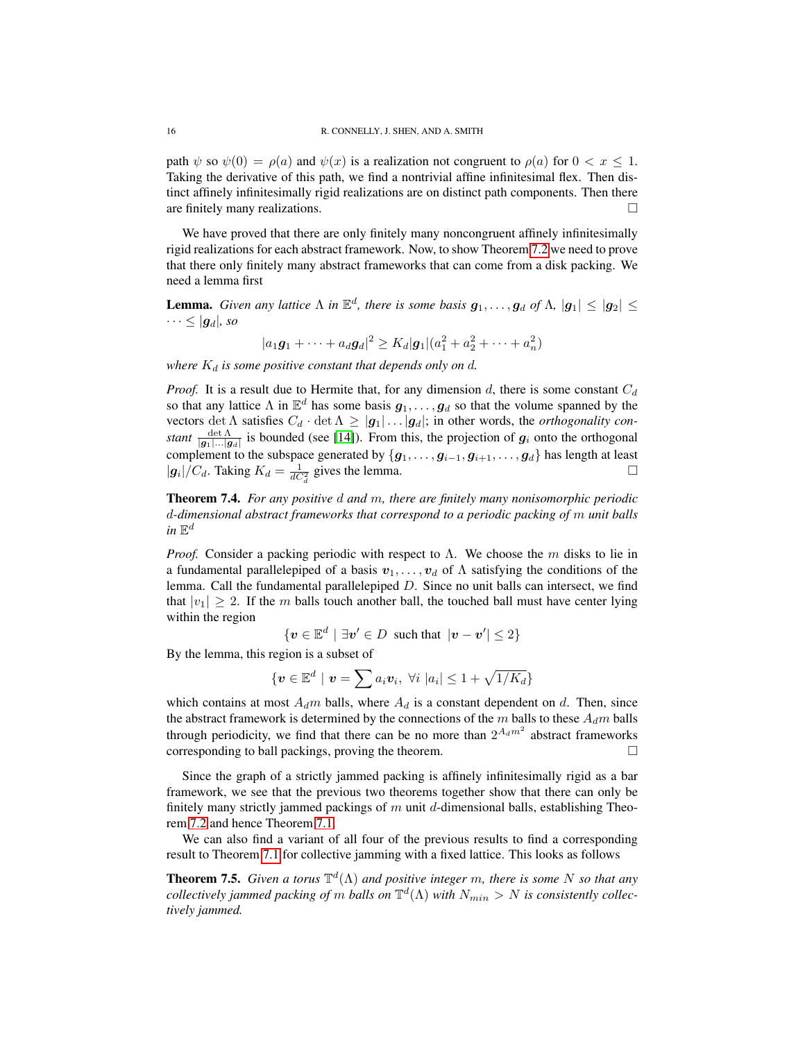path  $\psi$  so  $\psi(0) = \rho(a)$  and  $\psi(x)$  is a realization not congruent to  $\rho(a)$  for  $0 < x < 1$ . Taking the derivative of this path, we find a nontrivial affine infinitesimal flex. Then distinct affinely infinitesimally rigid realizations are on distinct path components. Then there are finitely many realizations.

We have proved that there are only finitely many noncongruent affinely infinitesimally rigid realizations for each abstract framework. Now, to show Theorem [7.2](#page-14-0) we need to prove that there only finitely many abstract frameworks that can come from a disk packing. We need a lemma first

**Lemma.** *Given any lattice*  $\Lambda$  *in*  $\mathbb{E}^d$ , *there is some basis*  $g_1, \ldots, g_d$  *of*  $\Lambda$ ,  $|g_1| \leq |g_2| \leq$  $\cdots \leq |g_d|$ , so

 $|a_1\mathbf{g}_1 + \cdots + a_d\mathbf{g}_d|^2 \ge K_d |\mathbf{g}_1| (a_1^2 + a_2^2 + \cdots + a_n^2)$ 

*where*  $K_d$  *is some positive constant that depends only on d.* 

*Proof.* It is a result due to Hermite that, for any dimension  $d$ , there is some constant  $C_d$ so that any lattice  $\Lambda$  in  $\mathbb{E}^d$  has some basis  $g_1, \ldots, g_d$  so that the volume spanned by the vectors det  $\Lambda$  satisfies  $C_d \cdot \det \Lambda \geq |g_1| \dots |g_d|$ ; in other words, the *orthogonality constant*  $\frac{\det \Lambda}{|g_1| \dots |g_d|}$  is bounded (see [\[14\]](#page-20-13)). From this, the projection of  $g_i$  onto the orthogonal complement to the subspace generated by  $\{g_1, \ldots, g_{i-1}, g_{i+1}, \ldots, g_d\}$  has length at least  $|g_i|/C_d$ . Taking  $K_d = \frac{1}{dC_d^2}$  gives the lemma.

<span id="page-15-0"></span>Theorem 7.4. *For any positive* d *and* m*, there are finitely many nonisomorphic periodic* d*-dimensional abstract frameworks that correspond to a periodic packing of* m *unit balls*  $in \mathbb{E}^d$ 

*Proof.* Consider a packing periodic with respect to  $\Lambda$ . We choose the m disks to lie in a fundamental parallelepiped of a basis  $v_1, \ldots, v_d$  of  $\Lambda$  satisfying the conditions of the lemma. Call the fundamental parallelepiped D. Since no unit balls can intersect, we find that  $|v_1| \geq 2$ . If the m balls touch another ball, the touched ball must have center lying within the region

$$
\{v \in \mathbb{E}^d \mid \exists v' \in D \text{ such that } |v - v'| \leq 2\}
$$

By the lemma, this region is a subset of

$$
\{ \boldsymbol{v} \in \mathbb{E}^d \mid \boldsymbol{v} = \sum a_i \boldsymbol{v}_i, \ \forall i \ |a_i| \leq 1 + \sqrt{1/K_d} \}
$$

which contains at most  $A_d m$  balls, where  $A_d$  is a constant dependent on d. Then, since the abstract framework is determined by the connections of the  $m$  balls to these  $A_d m$  balls through periodicity, we find that there can be no more than  $2^{A_d m^2}$  abstract frameworks corresponding to ball packings, proving the theorem.

Since the graph of a strictly jammed packing is affinely infinitesimally rigid as a bar framework, we see that the previous two theorems together show that there can only be finitely many strictly jammed packings of  $m$  unit  $d$ -dimensional balls, establishing Theorem [7.2](#page-14-0) and hence Theorem [7.1.](#page-14-1)

We can also find a variant of all four of the previous results to find a corresponding result to Theorem [7.1](#page-14-1) for collective jamming with a fixed lattice. This looks as follows

<span id="page-15-1"></span>**Theorem 7.5.** Given a torus  $\mathbb{T}^d(\Lambda)$  and positive integer m, there is some N so that any  $\omega$  *collectively jammed packing of m balls on*  $\mathbb{T}^d(\Lambda)$  *with*  $N_{min} > N$  *is consistently collectively jammed.*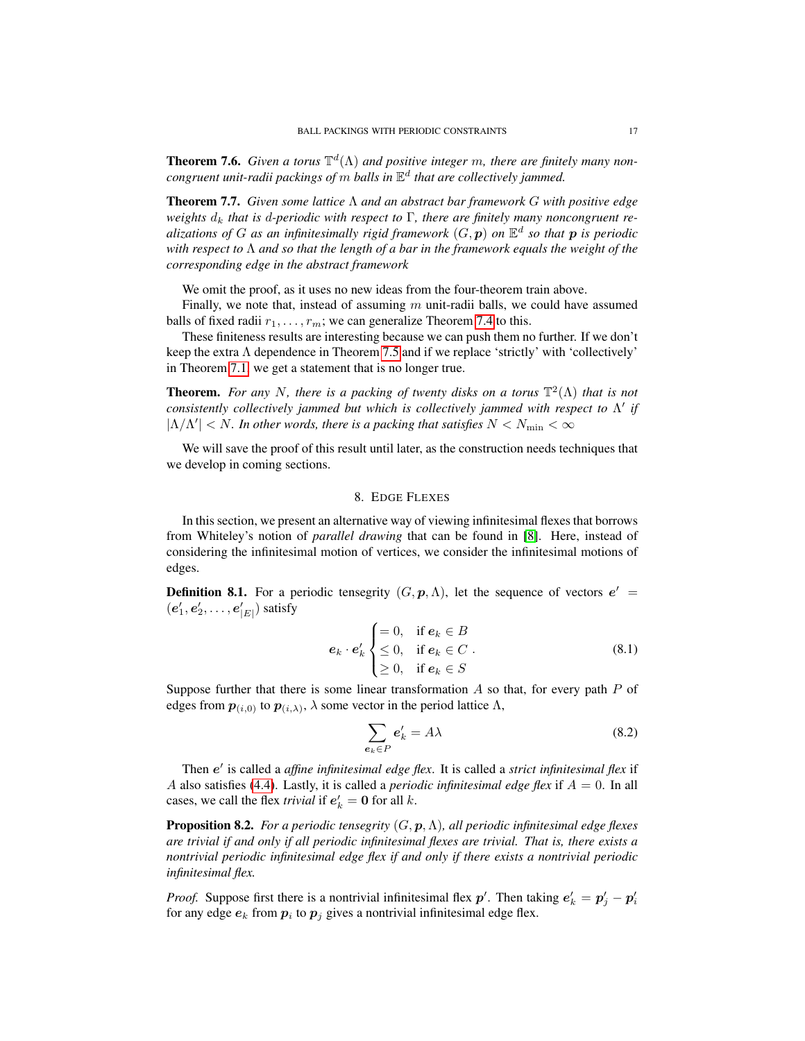**Theorem 7.6.** Given a torus  $\mathbb{T}^d(\Lambda)$  and positive integer m, there are finitely many non*congruent unit-radii packings of* m *balls in* E d *that are collectively jammed.*

Theorem 7.7. *Given some lattice* Λ *and an abstract bar framework* G *with positive edge weights*  $d_k$  *that is d-periodic with respect to*  $\Gamma$ *, there are finitely many noncongruent re*alizations of G as an infinitesimally rigid framework  $(G, \boldsymbol{p})$  on  $\mathbb{E}^d$  so that  $\boldsymbol{p}$  is periodic *with respect to* Λ *and so that the length of a bar in the framework equals the weight of the corresponding edge in the abstract framework*

We omit the proof, as it uses no new ideas from the four-theorem train above.

Finally, we note that, instead of assuming  $m$  unit-radii balls, we could have assumed balls of fixed radii  $r_1, \ldots, r_m$ ; we can generalize Theorem [7.4](#page-15-0) to this.

These finiteness results are interesting because we can push them no further. If we don't keep the extra Λ dependence in Theorem [7.5](#page-15-1) and if we replace 'strictly' with 'collectively' in Theorem [7.1,](#page-14-1) we get a statement that is no longer true.

**Theorem.** For any N, there is a packing of twenty disks on a torus  $\mathbb{T}^2(\Lambda)$  that is not *consistently collectively jammed but which is collectively jammed with respect to*  $Λ'$  *if*  $|\Lambda/\Lambda'| < N$ . In other words, there is a packing that satisfies  $N < N_{\rm min} < \infty$ 

We will save the proof of this result until later, as the construction needs techniques that we develop in coming sections.

### 8. EDGE FLEXES

In this section, we present an alternative way of viewing infinitesimal flexes that borrows from Whiteley's notion of *parallel drawing* that can be found in [\[8\]](#page-20-8). Here, instead of considering the infinitesimal motion of vertices, we consider the infinitesimal motions of edges.

**Definition 8.1.** For a periodic tensegrity  $(G, p, \Lambda)$ , let the sequence of vectors  $e' =$  $(e'_1, e'_2, \ldots, e'_{|E|})$  satisfy

<span id="page-16-0"></span>
$$
\mathbf{e}_{k} \cdot \mathbf{e}'_{k} \begin{cases} = 0, & \text{if } \mathbf{e}_{k} \in B \\ \leq 0, & \text{if } \mathbf{e}_{k} \in C \\ \geq 0, & \text{if } \mathbf{e}_{k} \in S \end{cases}
$$
 (8.1)

Suppose further that there is some linear transformation  $A$  so that, for every path  $P$  of edges from  $p_{(i,0)}$  to  $p_{(i,\lambda)}$ ,  $\lambda$  some vector in the period lattice  $\Lambda$ ,

$$
\sum_{\mathbf{e}_k \in P} \mathbf{e}'_k = A\lambda \tag{8.2}
$$

Then e' is called a *affine infinitesimal edge flex*. It is called a *strict infinitesimal flex* if A also satisfies [\(4.4\)](#page-5-0). Lastly, it is called a *periodic infinitesimal edge flex* if  $A = 0$ . In all cases, we call the flex *trivial* if  $e'_{k} = 0$  for all k.

Proposition 8.2. *For a periodic tensegrity* (G, p,Λ)*, all periodic infinitesimal edge flexes are trivial if and only if all periodic infinitesimal flexes are trivial. That is, there exists a nontrivial periodic infinitesimal edge flex if and only if there exists a nontrivial periodic infinitesimal flex.*

*Proof.* Suppose first there is a nontrivial infinitesimal flex  $p'$ . Then taking  $e'_{k} = p'_{j} - p'_{i}$ for any edge  $e_k$  from  $p_i$  to  $p_j$  gives a nontrivial infinitesimal edge flex.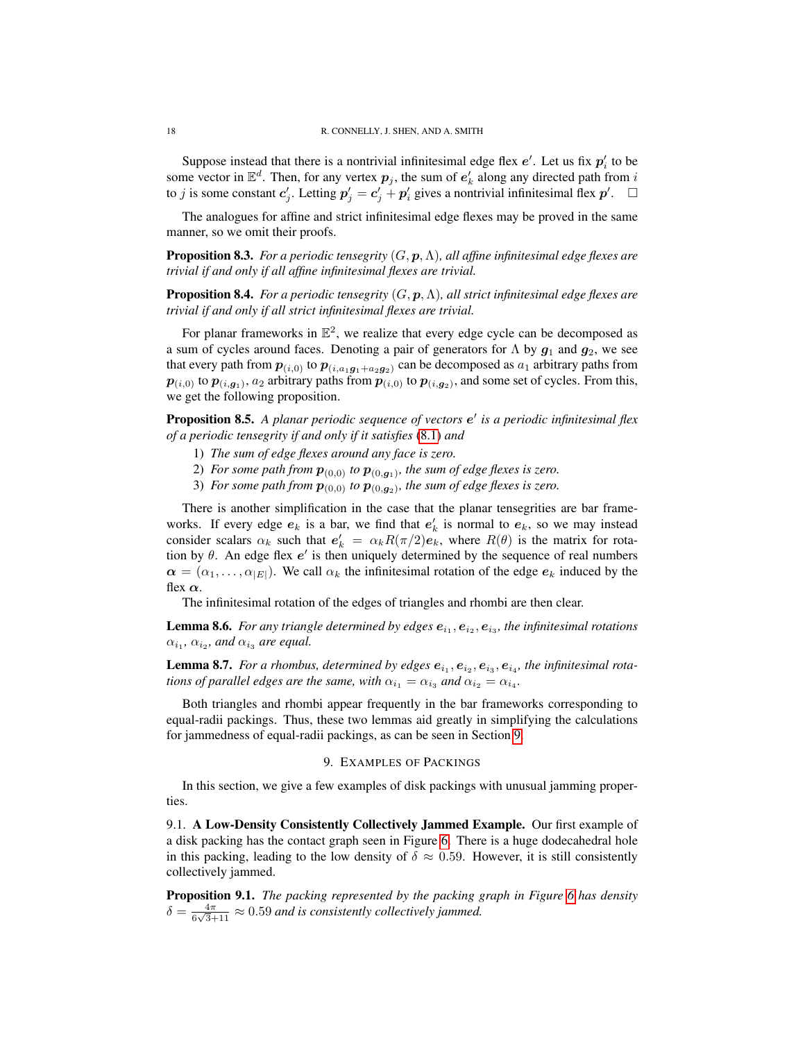Suppose instead that there is a nontrivial infinitesimal edge flex  $e'$ . Let us fix  $p'_i$  to be some vector in  $\mathbb{E}^d$ . Then, for any vertex  $p_j$ , the sum of  $e'_k$  along any directed path from i to *j* is some constant  $c'_j$ . Letting  $p'_j = c'_j + p'_i$  gives a nontrivial infinitesimal flex  $p'$ .  $\Box$ 

The analogues for affine and strict infinitesimal edge flexes may be proved in the same manner, so we omit their proofs.

Proposition 8.3. *For a periodic tensegrity* (G, p,Λ)*, all affine infinitesimal edge flexes are trivial if and only if all affine infinitesimal flexes are trivial.*

Proposition 8.4. *For a periodic tensegrity* (G, p,Λ)*, all strict infinitesimal edge flexes are trivial if and only if all strict infinitesimal flexes are trivial.*

For planar frameworks in  $\mathbb{E}^2$ , we realize that every edge cycle can be decomposed as a sum of cycles around faces. Denoting a pair of generators for  $\Lambda$  by  $g_1$  and  $g_2$ , we see that every path from  $p_{(i,0)}$  to  $p_{(i,a_1g_1+a_2g_2)}$  can be decomposed as  $a_1$  arbitrary paths from  $p_{(i,0)}$  to  $p_{(i,g_1)}$ ,  $a_2$  arbitrary paths from  $p_{(i,0)}$  to  $p_{(i,g_2)}$ , and some set of cycles. From this, we get the following proposition.

<span id="page-17-4"></span>**Proposition 8.5.** A planar periodic sequence of vectors  $e^t$  is a periodic infinitesimal flex *of a periodic tensegrity if and only if it satisfies* [\(8.1\)](#page-16-0) *and*

- 1) *The sum of edge flexes around any face is zero.*
- 2) For some path from  $p_{(0,0)}$  to  $p_{(0,g_1)}$ , the sum of edge flexes is zero.
- 3) For some path from  $p_{(0,0)}$  to  $p_{(0,g_2)}$ , the sum of edge flexes is zero.

There is another simplification in the case that the planar tensegrities are bar frameworks. If every edge  $e_k$  is a bar, we find that  $e'_k$  is normal to  $e_k$ , so we may instead consider scalars  $\alpha_k$  such that  $e'_k = \alpha_k R(\pi/2)e_k$ , where  $R(\theta)$  is the matrix for rotation by  $\theta$ . An edge flex  $e'$  is then uniquely determined by the sequence of real numbers  $\alpha = (\alpha_1, \dots, \alpha_{|E|})$ . We call  $\alpha_k$  the infinitesimal rotation of the edge  $e_k$  induced by the flex  $\alpha$ .

The infinitesimal rotation of the edges of triangles and rhombi are then clear.

<span id="page-17-1"></span>**Lemma 8.6.** For any triangle determined by edges  $e_{i_1}, e_{i_2}, e_{i_3}$ , the infinitesimal rotations  $\alpha_{i_1}, \alpha_{i_2},$  and  $\alpha_{i_3}$  are equal.

<span id="page-17-2"></span>**Lemma 8.7.** For a rhombus, determined by edges  $e_{i_1}, e_{i_2}, e_{i_3}, e_{i_4}$ , the infinitesimal rota*tions of parallel edges are the same, with*  $\alpha_{i_1} = \alpha_{i_3}$  *and*  $\alpha_{i_2} = \alpha_{i_4}$ *.* 

Both triangles and rhombi appear frequently in the bar frameworks corresponding to equal-radii packings. Thus, these two lemmas aid greatly in simplifying the calculations for jammedness of equal-radii packings, as can be seen in Section [9.](#page-17-0)

### 9. EXAMPLES OF PACKINGS

<span id="page-17-0"></span>In this section, we give a few examples of disk packings with unusual jamming properties.

9.1. A Low-Density Consistently Collectively Jammed Example. Our first example of a disk packing has the contact graph seen in Figure [6.](#page-18-0) There is a huge dodecahedral hole in this packing, leading to the low density of  $\delta \approx 0.59$ . However, it is still consistently collectively jammed.

<span id="page-17-3"></span>Proposition 9.1. *The packing represented by the packing graph in Figure [6](#page-18-0) has density*  $\delta = \frac{4\pi}{\epsilon \sqrt{2}}$  $\frac{4\pi}{6\sqrt{3}+11} \approx 0.59$  and is consistently collectively jammed.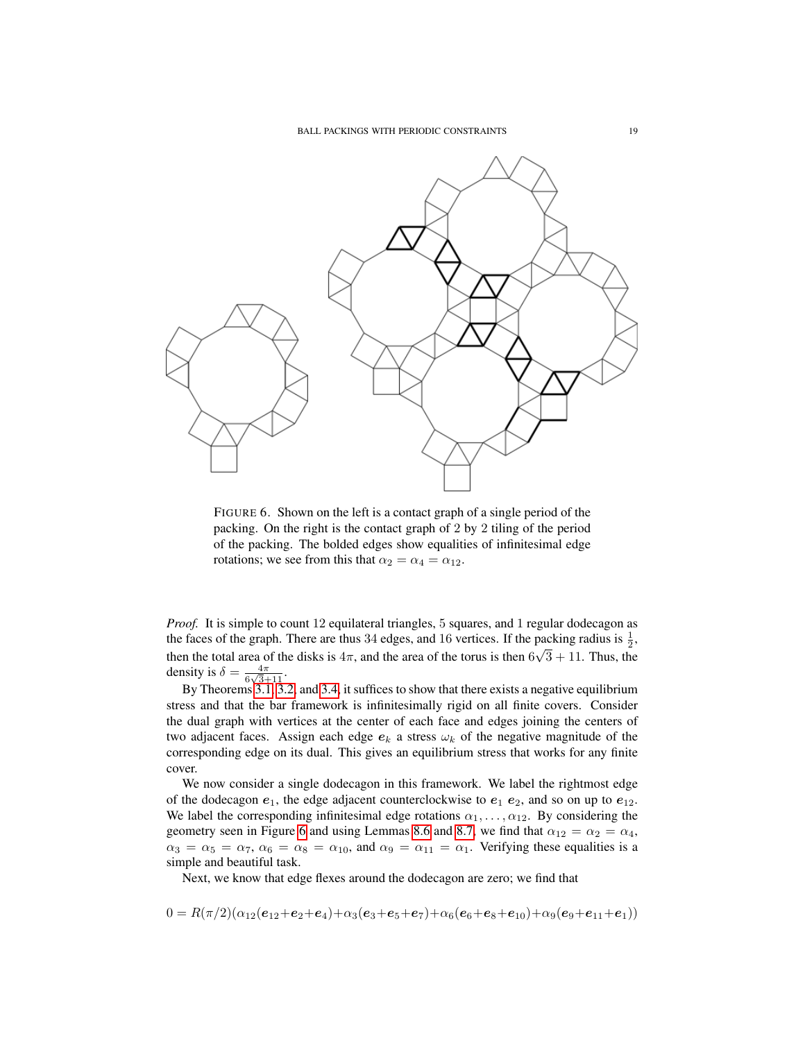

<span id="page-18-0"></span>FIGURE 6. Shown on the left is a contact graph of a single period of the packing. On the right is the contact graph of 2 by 2 tiling of the period of the packing. The bolded edges show equalities of infinitesimal edge rotations; we see from this that  $\alpha_2 = \alpha_4 = \alpha_{12}$ .

*Proof.* It is simple to count 12 equilateral triangles, 5 squares, and 1 regular dodecagon as the faces of the graph. There are thus 34 edges, and 16 vertices. If the packing radius is  $\frac{1}{2}$ , then the total area of the disks is  $4\pi$ , and the area of the torus is then  $6\sqrt{3} + 11$ . Thus, the density is  $\delta = \frac{4\pi}{6\sqrt{3}}$  $\frac{4\pi}{6\sqrt{3}+11}$ .

By Theorems [3.1,](#page-3-0) [3.2,](#page-3-1) and [3.4,](#page-4-1) it suffices to show that there exists a negative equilibrium stress and that the bar framework is infinitesimally rigid on all finite covers. Consider the dual graph with vertices at the center of each face and edges joining the centers of two adjacent faces. Assign each edge  $e_k$  a stress  $\omega_k$  of the negative magnitude of the corresponding edge on its dual. This gives an equilibrium stress that works for any finite cover.

We now consider a single dodecagon in this framework. We label the rightmost edge of the dodecagon  $e_1$ , the edge adjacent counterclockwise to  $e_1 e_2$ , and so on up to  $e_{12}$ . We label the corresponding infinitesimal edge rotations  $\alpha_1, \dots, \alpha_{12}$ . By considering the geometry seen in Figure [6](#page-18-0) and using Lemmas [8.6](#page-17-1) and [8.7,](#page-17-2) we find that  $\alpha_{12} = \alpha_2 = \alpha_4$ ,  $\alpha_3 = \alpha_5 = \alpha_7$ ,  $\alpha_6 = \alpha_8 = \alpha_{10}$ , and  $\alpha_9 = \alpha_{11} = \alpha_1$ . Verifying these equalities is a simple and beautiful task.

Next, we know that edge flexes around the dodecagon are zero; we find that

$$
0 = R(\pi/2)(\alpha_{12}(e_{12}+e_2+e_4)+\alpha_3(e_3+e_5+e_7)+\alpha_6(e_6+e_8+e_{10})+\alpha_9(e_9+e_{11}+e_1))
$$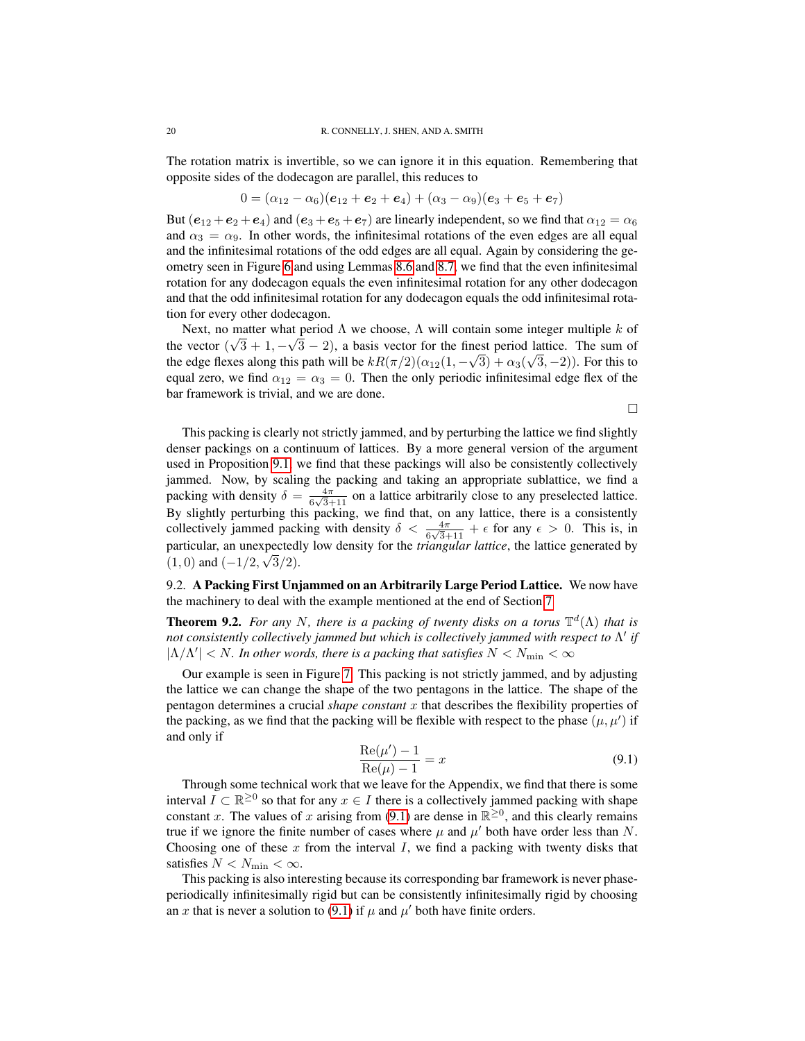The rotation matrix is invertible, so we can ignore it in this equation. Remembering that opposite sides of the dodecagon are parallel, this reduces to

$$
0 = (\alpha_{12} - \alpha_6)(e_{12} + e_2 + e_4) + (\alpha_3 - \alpha_9)(e_3 + e_5 + e_7)
$$

But  $(e_{12} + e_2 + e_4)$  and  $(e_3 + e_5 + e_7)$  are linearly independent, so we find that  $\alpha_{12} = \alpha_6$ and  $\alpha_3 = \alpha_9$ . In other words, the infinitesimal rotations of the even edges are all equal and the infinitesimal rotations of the odd edges are all equal. Again by considering the geometry seen in Figure [6](#page-18-0) and using Lemmas [8.6](#page-17-1) and [8.7,](#page-17-2) we find that the even infinitesimal rotation for any dodecagon equals the even infinitesimal rotation for any other dodecagon and that the odd infinitesimal rotation for any dodecagon equals the odd infinitesimal rotation for every other dodecagon.

Next, no matter what period  $\Lambda$  we choose,  $\Lambda$  will contain some integer multiple k of the vector  $(\sqrt{3} + 1, -\sqrt{3} - 2)$ , a basis vector for the finest period lattice. The sum of the edge flexes along this path will be  $kR(\pi/2)(\alpha_{12}(1, -\sqrt{3}) + \alpha_3(\sqrt{3}, -2))$ . For this to equal zero, we find  $\alpha_{12} = \alpha_3 = 0$ . Then the only periodic infinitesimal edge flex of the bar framework is trivial, and we are done.

 $\Box$ 

This packing is clearly not strictly jammed, and by perturbing the lattice we find slightly denser packings on a continuum of lattices. By a more general version of the argument used in Proposition [9.1,](#page-17-3) we find that these packings will also be consistently collectively jammed. Now, by scaling the packing and taking an appropriate sublattice, we find a packing with density  $\delta = \frac{4\pi}{6\sqrt{2}}$  $\frac{4\pi}{6\sqrt{3}+11}$  on a lattice arbitrarily close to any preselected lattice. By slightly perturbing this packing, we find that, on any lattice, there is a consistently collectively jammed packing with density  $\delta < \frac{4\pi}{6\sqrt{3}+11} + \epsilon$  for any  $\epsilon > 0$ . This is, in particular, an unexpectedly low density for the *triangular lattice*, the lattice generated by √  $(1,0)$  and  $(-1/2, \sqrt{3}/2)$ .

9.2. A Packing First Unjammed on an Arbitrarily Large Period Lattice. We now have the machinery to deal with the example mentioned at the end of Section [7](#page-14-2)

<span id="page-19-1"></span>**Theorem 9.2.** For any N, there is a packing of twenty disks on a torus  $\mathbb{T}^d(\Lambda)$  that is *not consistently collectively jammed but which is collectively jammed with respect to*  $Λ'$  *if*  $|\Lambda/\Lambda'| < N$ . In other words, there is a packing that satisfies  $N < N_{\rm min} < \infty$ 

Our example is seen in Figure [7.](#page-20-14) This packing is not strictly jammed, and by adjusting the lattice we can change the shape of the two pentagons in the lattice. The shape of the pentagon determines a crucial *shape constant* x that describes the flexibility properties of the packing, as we find that the packing will be flexible with respect to the phase  $(\mu, \mu')$  if and only if

<span id="page-19-0"></span>
$$
\frac{\text{Re}(\mu') - 1}{\text{Re}(\mu) - 1} = x \tag{9.1}
$$

Through some technical work that we leave for the Appendix, we find that there is some interval  $I \subset \mathbb{R}^{\geq 0}$  so that for any  $x \in I$  there is a collectively jammed packing with shape constant x. The values of x arising from [\(9.1\)](#page-19-0) are dense in  $\mathbb{R}^{\geq 0}$ , and this clearly remains true if we ignore the finite number of cases where  $\mu$  and  $\mu'$  both have order less than N. Choosing one of these  $x$  from the interval  $I$ , we find a packing with twenty disks that satisfies  $N < N_{\text{min}} < \infty$ .

This packing is also interesting because its corresponding bar framework is never phaseperiodically infinitesimally rigid but can be consistently infinitesimally rigid by choosing an x that is never a solution to [\(9.1\)](#page-19-0) if  $\mu$  and  $\mu'$  both have finite orders.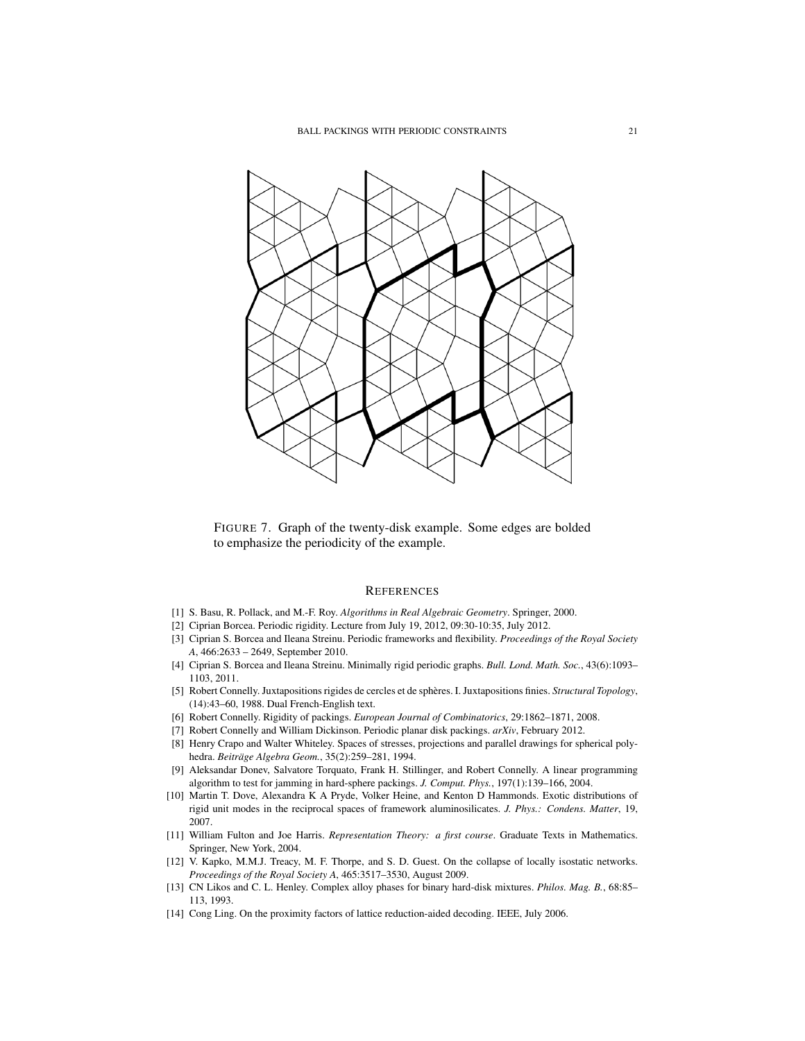

<span id="page-20-14"></span>FIGURE 7. Graph of the twenty-disk example. Some edges are bolded to emphasize the periodicity of the example.

#### **REFERENCES**

- <span id="page-20-12"></span>[1] S. Basu, R. Pollack, and M.-F. Roy. *Algorithms in Real Algebraic Geometry*. Springer, 2000.
- <span id="page-20-6"></span>[2] Ciprian Borcea. Periodic rigidity. Lecture from July 19, 2012, 09:30-10:35, July 2012.
- <span id="page-20-0"></span>[3] Ciprian S. Borcea and Ileana Streinu. Periodic frameworks and flexibility. *Proceedings of the Royal Society A*, 466:2633 – 2649, September 2010.
- <span id="page-20-1"></span>[4] Ciprian S. Borcea and Ileana Streinu. Minimally rigid periodic graphs. *Bull. Lond. Math. Soc.*, 43(6):1093– 1103, 2011.
- <span id="page-20-4"></span>[5] Robert Connelly. Juxtapositions rigides de cercles et de spheres. I. Juxtapositions finies. ` *Structural Topology*, (14):43–60, 1988. Dual French-English text.
- <span id="page-20-3"></span>[6] Robert Connelly. Rigidity of packings. *European Journal of Combinatorics*, 29:1862–1871, 2008.
- <span id="page-20-2"></span>[7] Robert Connelly and William Dickinson. Periodic planar disk packings. *arXiv*, February 2012.
- <span id="page-20-8"></span>[8] Henry Crapo and Walter Whiteley. Spaces of stresses, projections and parallel drawings for spherical polyhedra. *Beitrage Algebra Geom. ¨* , 35(2):259–281, 1994.
- <span id="page-20-5"></span>[9] Aleksandar Donev, Salvatore Torquato, Frank H. Stillinger, and Robert Connelly. A linear programming algorithm to test for jamming in hard-sphere packings. *J. Comput. Phys.*, 197(1):139–166, 2004.
- <span id="page-20-7"></span>[10] Martin T. Dove, Alexandra K A Pryde, Volker Heine, and Kenton D Hammonds. Exotic distributions of rigid unit modes in the reciprocal spaces of framework aluminosilicates. *J. Phys.: Condens. Matter*, 19, 2007.
- <span id="page-20-10"></span>[11] William Fulton and Joe Harris. *Representation Theory: a first course*. Graduate Texts in Mathematics. Springer, New York, 2004.
- <span id="page-20-11"></span>[12] V. Kapko, M.M.J. Treacy, M. F. Thorpe, and S. D. Guest. On the collapse of locally isostatic networks. *Proceedings of the Royal Society A*, 465:3517–3530, August 2009.
- <span id="page-20-9"></span>[13] CN Likos and C. L. Henley. Complex alloy phases for binary hard-disk mixtures. *Philos. Mag. B.*, 68:85– 113, 1993.
- <span id="page-20-13"></span>[14] Cong Ling. On the proximity factors of lattice reduction-aided decoding. IEEE, July 2006.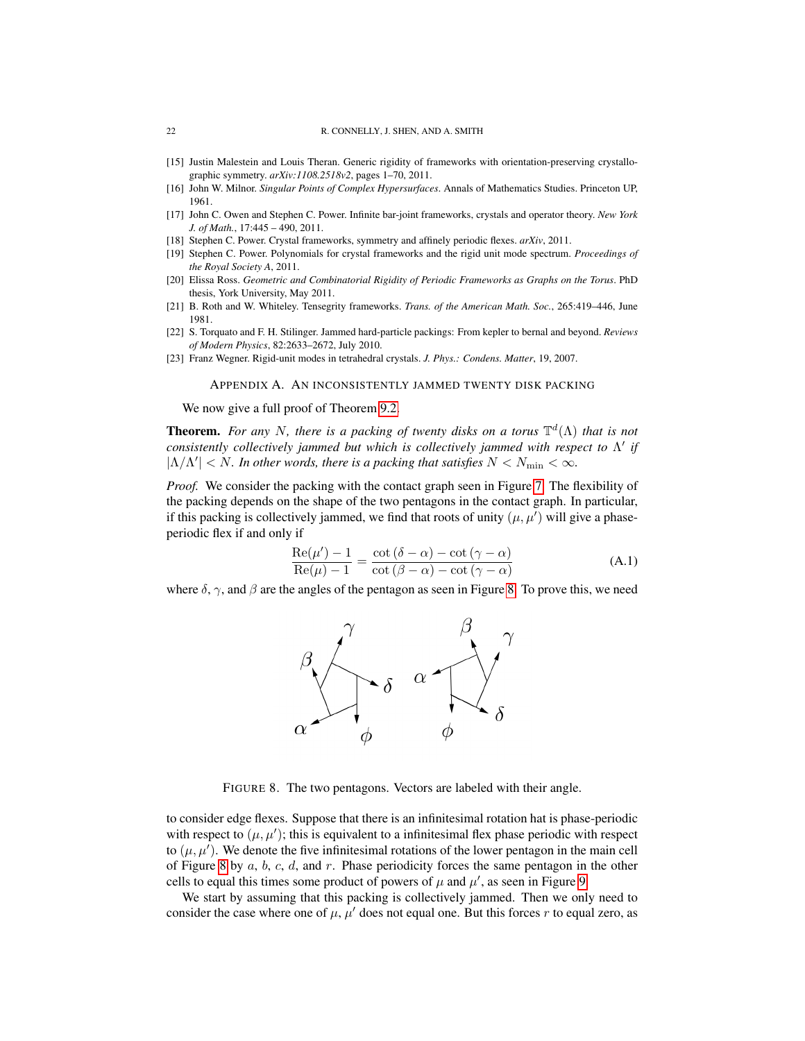- <span id="page-21-2"></span>[15] Justin Malestein and Louis Theran. Generic rigidity of frameworks with orientation-preserving crystallographic symmetry. *arXiv:1108.2518v2*, pages 1–70, 2011.
- <span id="page-21-8"></span>[16] John W. Milnor. *Singular Points of Complex Hypersurfaces*. Annals of Mathematics Studies. Princeton UP, 1961.
- <span id="page-21-6"></span>[17] John C. Owen and Stephen C. Power. Infinite bar-joint frameworks, crystals and operator theory. *New York J. of Math.*, 17:445 – 490, 2011.
- <span id="page-21-1"></span>[18] Stephen C. Power. Crystal frameworks, symmetry and affinely periodic flexes. *arXiv*, 2011.
- <span id="page-21-7"></span>[19] Stephen C. Power. Polynomials for crystal frameworks and the rigid unit mode spectrum. *Proceedings of the Royal Society A*, 2011.
- <span id="page-21-3"></span>[20] Elissa Ross. *Geometric and Combinatorial Rigidity of Periodic Frameworks as Graphs on the Torus*. PhD thesis, York University, May 2011.
- <span id="page-21-4"></span>[21] B. Roth and W. Whiteley. Tensegrity frameworks. *Trans. of the American Math. Soc.*, 265:419–446, June 1981.
- <span id="page-21-0"></span>[22] S. Torquato and F. H. Stilinger. Jammed hard-particle packings: From kepler to bernal and beyond. *Reviews of Modern Physics*, 82:2633–2672, July 2010.
- <span id="page-21-5"></span>[23] Franz Wegner. Rigid-unit modes in tetrahedral crystals. *J. Phys.: Condens. Matter*, 19, 2007.

#### APPENDIX A. AN INCONSISTENTLY JAMMED TWENTY DISK PACKING

We now give a full proof of Theorem [9.2.](#page-19-1)

**Theorem.** For any N, there is a packing of twenty disks on a torus  $\mathbb{T}^d(\Lambda)$  that is not *consistently collectively jammed but which is collectively jammed with respect to*  $Λ'$  *if*  $|\Lambda/\Lambda'| < N$ . In other words, there is a packing that satisfies  $N < N_{\text{min}} < \infty$ .

*Proof.* We consider the packing with the contact graph seen in Figure [7.](#page-20-14) The flexibility of the packing depends on the shape of the two pentagons in the contact graph. In particular, if this packing is collectively jammed, we find that roots of unity  $(\mu, \mu')$  will give a phaseperiodic flex if and only if

<span id="page-21-10"></span>
$$
\frac{\text{Re}(\mu') - 1}{\text{Re}(\mu) - 1} = \frac{\cot(\delta - \alpha) - \cot(\gamma - \alpha)}{\cot(\beta - \alpha) - \cot(\gamma - \alpha)}
$$
(A.1)

where  $\delta$ ,  $\gamma$ , and  $\beta$  are the angles of the pentagon as seen in Figure [8.](#page-21-9) To prove this, we need



<span id="page-21-9"></span>FIGURE 8. The two pentagons. Vectors are labeled with their angle.

to consider edge flexes. Suppose that there is an infinitesimal rotation hat is phase-periodic with respect to  $(\mu, \mu')$ ; this is equivalent to a infinitesimal flex phase periodic with respect to  $(\mu, \mu')$ . We denote the five infinitesimal rotations of the lower pentagon in the main cell of Figure [8](#page-21-9) by  $a, b, c, d$ , and  $r$ . Phase periodicity forces the same pentagon in the other cells to equal this times some product of powers of  $\mu$  and  $\mu'$ , as seen in Figure [9.](#page-22-0)

We start by assuming that this packing is collectively jammed. Then we only need to consider the case where one of  $\mu$ ,  $\mu'$  does not equal one. But this forces r to equal zero, as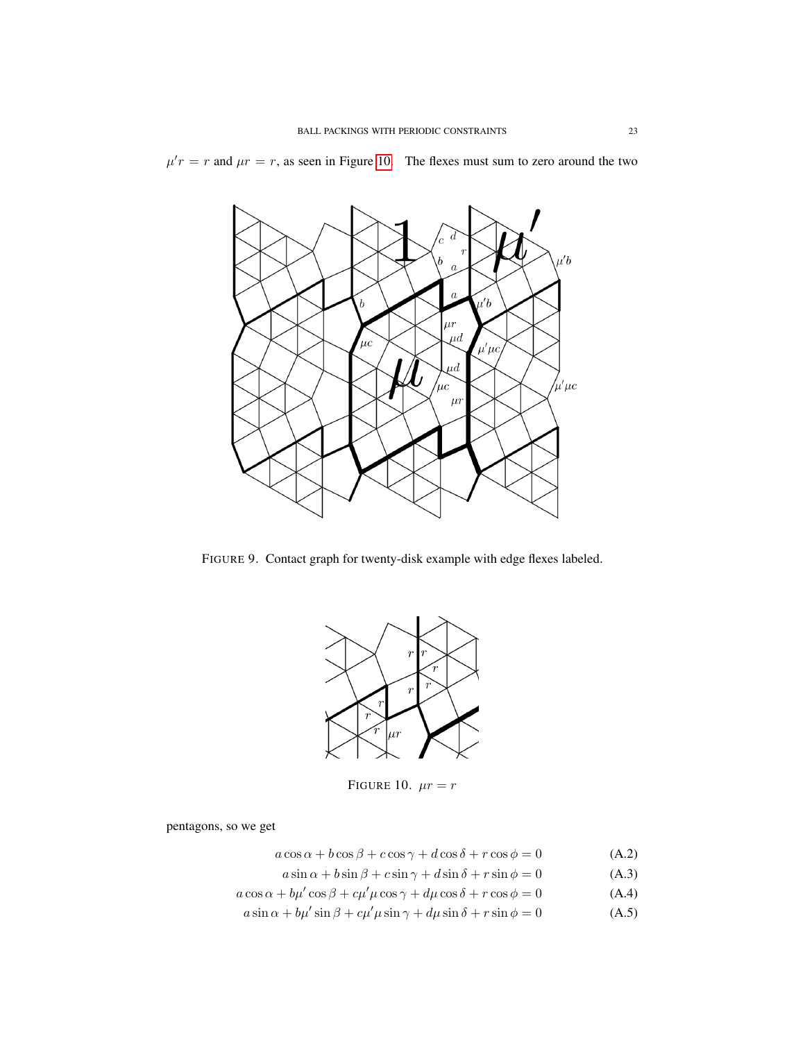$\mu' r = r$  and  $\mu r = r$ , as seen in Figure [10.](#page-22-1) The flexes must sum to zero around the two



<span id="page-22-0"></span>FIGURE 9. Contact graph for twenty-disk example with edge flexes labeled.



<span id="page-22-1"></span>FIGURE 10.  $\mu r = r$ 

pentagons, so we get

- $a\cos\alpha + b\cos\beta + c\cos\gamma + d\cos\delta + r\cos\phi = 0$  (A.2)
- <span id="page-22-2"></span> $a \sin \alpha + b \sin \beta + c \sin \gamma + d \sin \delta + r \sin \phi = 0$  (A.3)
- $a\cos\alpha + b\mu'\cos\beta + c\mu'\mu\cos\gamma + d\mu\cos\delta + r\cos\phi = 0$  (A.4)
- $a\sin\alpha + b\mu'\sin\beta + c\mu'\mu\sin\gamma + d\mu\sin\delta + r\sin\phi = 0$  (A.5)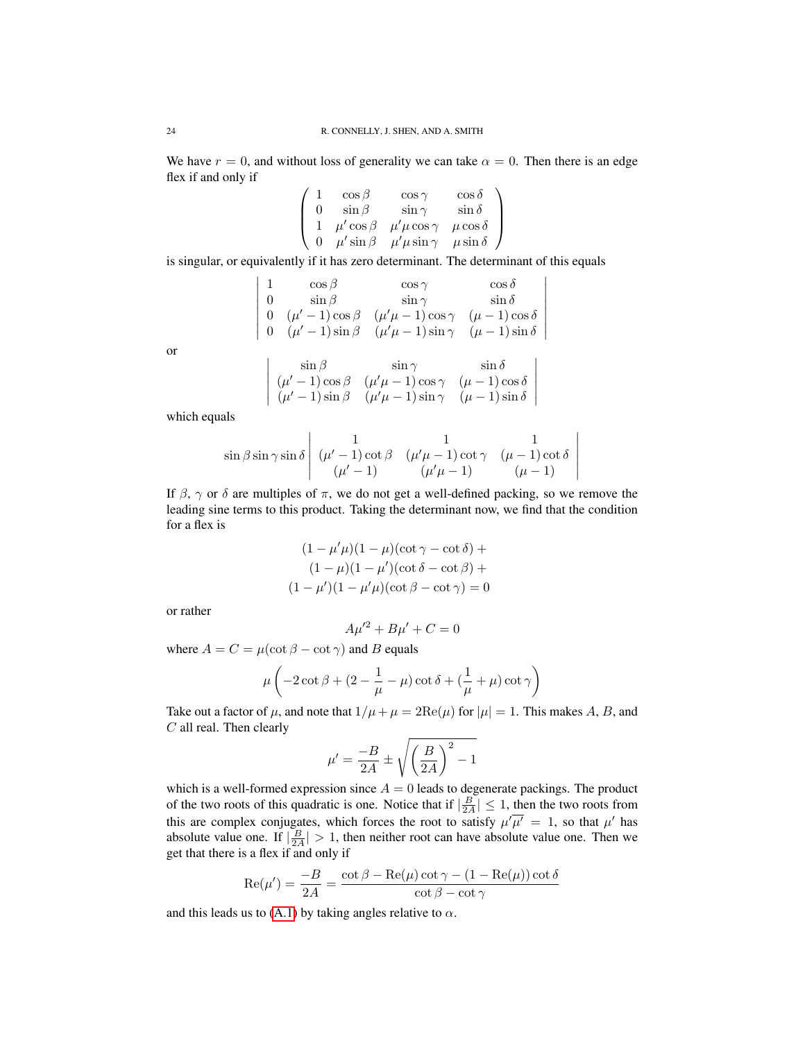We have  $r = 0$ , and without loss of generality we can take  $\alpha = 0$ . Then there is an edge flex if and only if

$$
\left(\begin{array}{cccc} 1 & \cos\beta & \cos\gamma & \cos\delta\\ 0 & \sin\beta & \sin\gamma & \sin\delta\\ 1 & \mu'\cos\beta & \mu'\mu\cos\gamma & \mu\cos\delta\\ 0 & \mu'\sin\beta & \mu'\mu\sin\gamma & \mu\sin\delta \end{array}\right)
$$

is singular, or equivalently if it has zero determinant. The determinant of this equals

$$
\left|\begin{array}{cccc} 1 & \cos\beta & \cos\gamma & \cos\delta\\ 0 & \sin\beta & \sin\gamma & \sin\delta\\ 0 & (\mu'-1)\cos\beta & (\mu'\mu-1)\cos\gamma & (\mu-1)\cos\delta\\ 0 & (\mu'-1)\sin\beta & (\mu'\mu-1)\sin\gamma & (\mu-1)\sin\delta \end{array}\right.
$$

 $\overline{\phantom{a}}$  $\overline{\phantom{a}}$  $\overline{\phantom{a}}$  $\overline{\phantom{a}}$ I  $\overline{\phantom{a}}$  $\overline{\phantom{a}}$  $\overline{\phantom{a}}$ 

> $\overline{\phantom{a}}$  $\overline{\phantom{a}}$  $\overline{\phantom{a}}$  $\overline{\phantom{a}}$  $\overline{\phantom{a}}$  $\vert$

or

$$
\begin{array}{cc}\n\sin \beta & \sin \gamma & \sin \delta \\
(\mu' - 1) \cos \beta & (\mu' \mu - 1) \cos \gamma & (\mu - 1) \cos \delta \\
(\mu' - 1) \sin \beta & (\mu' \mu - 1) \sin \gamma & (\mu - 1) \sin \delta\n\end{array}
$$

which equals

 $\overline{\phantom{a}}$  $\overline{\phantom{a}}$  $\overline{\phantom{a}}$  $\downarrow$ I  $\vert$ 

$$
\sin \beta \sin \gamma \sin \delta \begin{vmatrix} 1 & 1 & 1 \\ (\mu' - 1) \cot \beta & (\mu' \mu - 1) \cot \gamma & (\mu - 1) \cot \delta \\ (\mu' - 1) & (\mu' \mu - 1) & (\mu - 1) \end{vmatrix}
$$

If  $\beta$ ,  $\gamma$  or  $\delta$  are multiples of  $\pi$ , we do not get a well-defined packing, so we remove the leading sine terms to this product. Taking the determinant now, we find that the condition for a flex is

$$
(1 - \mu'\mu)(1 - \mu)(\cot \gamma - \cot \delta) +
$$

$$
(1 - \mu)(1 - \mu')(\cot \delta - \cot \beta) +
$$

$$
(1 - \mu')(1 - \mu'\mu)(\cot \beta - \cot \gamma) = 0
$$

or rather

$$
A\mu'^2 + B\mu' + C = 0
$$

where  $A = C = \mu(\cot \beta - \cot \gamma)$  and B equals

$$
\mu\left(-2\cot\beta + (2 - \frac{1}{\mu} - \mu)\cot\delta + (\frac{1}{\mu} + \mu)\cot\gamma\right)
$$

Take out a factor of  $\mu$ , and note that  $1/\mu + \mu = 2\text{Re}(\mu)$  for  $|\mu| = 1$ . This makes A, B, and C all real. Then clearly

$$
\mu' = \frac{-B}{2A} \pm \sqrt{\left(\frac{B}{2A}\right)^2 - 1}
$$

which is a well-formed expression since  $A = 0$  leads to degenerate packings. The product of the two roots of this quadratic is one. Notice that if  $\left|\frac{B}{2A}\right| \leq 1$ , then the two roots from this are complex conjugates, which forces the root to satisfy  $\mu'\overline{\mu'} = 1$ , so that  $\mu'$  has absolute value one. If  $|\frac{B}{2A}| > 1$ , then neither root can have absolute value one. Then we get that there is a flex if and only if

$$
Re(\mu') = \frac{-B}{2A} = \frac{\cot \beta - Re(\mu) \cot \gamma - (1 - Re(\mu)) \cot \delta}{\cot \beta - \cot \gamma}
$$

and this leads us to [\(A.1\)](#page-21-10) by taking angles relative to  $\alpha$ .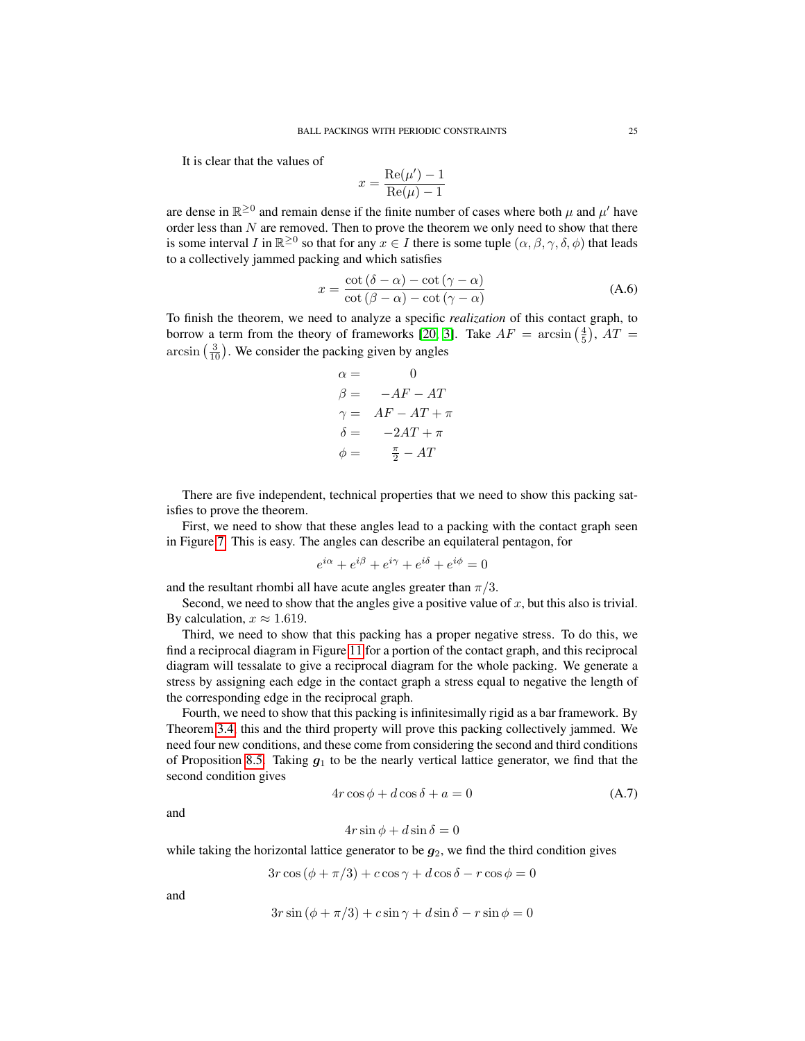It is clear that the values of

$$
x = \frac{\text{Re}(\mu') - 1}{\text{Re}(\mu) - 1}
$$

are dense in  $\mathbb{R}^{\geq 0}$  and remain dense if the finite number of cases where both  $\mu$  and  $\mu'$  have order less than  $N$  are removed. Then to prove the theorem we only need to show that there is some interval I in  $\mathbb{R}^{\geq 0}$  so that for any  $x \in I$  there is some tuple  $(\alpha, \beta, \gamma, \delta, \phi)$  that leads to a collectively jammed packing and which satisfies

<span id="page-24-1"></span>
$$
x = \frac{\cot(\delta - \alpha) - \cot(\gamma - \alpha)}{\cot(\beta - \alpha) - \cot(\gamma - \alpha)}
$$
(A.6)

To finish the theorem, we need to analyze a specific *realization* of this contact graph, to borrow a term from the theory of frameworks [\[20,](#page-21-3) [3\]](#page-20-0). Take  $AF = \arcsin(\frac{4}{5})$ ,  $AT =$  $arcsin(\frac{3}{10})$ . We consider the packing given by angles

$$
\alpha = 0
$$
  
\n
$$
\beta = -AF - AT
$$
  
\n
$$
\gamma = AF - AT + \pi
$$
  
\n
$$
\delta = -2AT + \pi
$$
  
\n
$$
\phi = \frac{\pi}{2} - AT
$$

There are five independent, technical properties that we need to show this packing satisfies to prove the theorem.

First, we need to show that these angles lead to a packing with the contact graph seen in Figure [7.](#page-20-14) This is easy. The angles can describe an equilateral pentagon, for

$$
e^{i\alpha} + e^{i\beta} + e^{i\gamma} + e^{i\delta} + e^{i\phi} = 0
$$

and the resultant rhombi all have acute angles greater than  $\pi/3$ .

Second, we need to show that the angles give a positive value of  $x$ , but this also is trivial. By calculation,  $x \approx 1.619$ .

Third, we need to show that this packing has a proper negative stress. To do this, we find a reciprocal diagram in Figure [11](#page-25-0) for a portion of the contact graph, and this reciprocal diagram will tessalate to give a reciprocal diagram for the whole packing. We generate a stress by assigning each edge in the contact graph a stress equal to negative the length of the corresponding edge in the reciprocal graph.

Fourth, we need to show that this packing is infinitesimally rigid as a bar framework. By Theorem [3.4,](#page-4-1) this and the third property will prove this packing collectively jammed. We need four new conditions, and these come from considering the second and third conditions of Proposition [8.5.](#page-17-4) Taking  $g_1$  to be the nearly vertical lattice generator, we find that the second condition gives

<span id="page-24-0"></span>
$$
4r\cos\phi + d\cos\delta + a = 0\tag{A.7}
$$

and

$$
4r\sin\phi + d\sin\delta = 0
$$

while taking the horizontal lattice generator to be  $g_2$ , we find the third condition gives

$$
3r\cos{(\phi + \pi/3)} + c\cos{\gamma} + d\cos{\delta} - r\cos{\phi} = 0
$$

and

$$
3r\sin{(\phi + \pi/3)} + c\sin{\gamma} + d\sin{\delta} - r\sin{\phi} = 0
$$